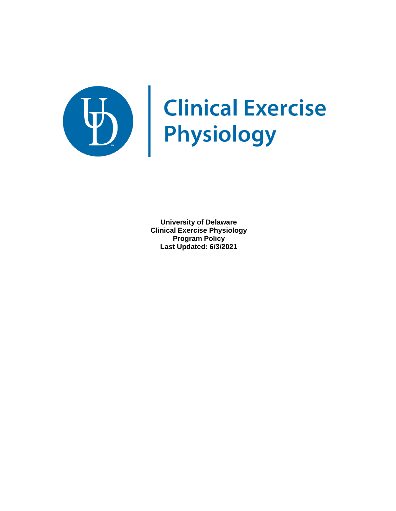

# Clinical Exercise

**University of Delaware Clinical Exercise Physiology Program Policy Last Updated: 6/3/2021**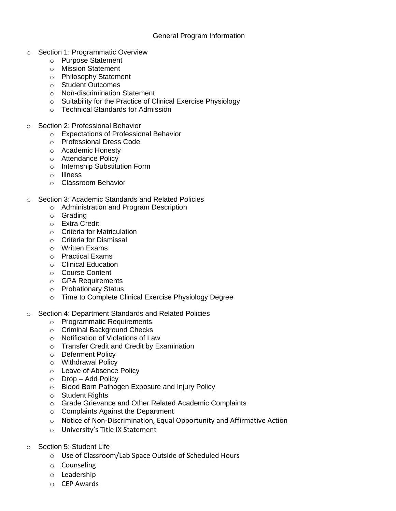# General Program Information

- o Section 1: Programmatic Overview
	- o Purpose Statement
	- o Mission Statement
	- o Philosophy Statement
	- o Student Outcomes
	- o Non-discrimination Statement
	- o Suitability for the Practice of Clinical Exercise Physiology
	- o Technical Standards for Admission
- Section 2: Professional Behavior
	- o Expectations of Professional Behavior
	- o Professional Dress Code
	- o Academic Honesty
	- o Attendance Policy
	- o Internship Substitution Form
	- o Illness
	- o Classroom Behavior
- o Section 3: Academic Standards and Related Policies
	- o Administration and Program Description
	- o Grading
	- o Extra Credit
	- o Criteria for Matriculation
	- o Criteria for Dismissal
	- o Written Exams
	- o Practical Exams
	- o Clinical Education
	- o Course Content
	- o GPA Requirements
	- o Probationary Status
	- o Time to Complete Clinical Exercise Physiology Degree
- o Section 4: Department Standards and Related Policies
	- o Programmatic Requirements
	- o Criminal Background Checks
	- o Notification of Violations of Law
	- o Transfer Credit and Credit by Examination
	- o Deferment Policy
	- o Withdrawal Policy
	- o Leave of Absence Policy
	- o Drop Add Policy
	- o Blood Born Pathogen Exposure and Injury Policy
	- o Student Rights
	- o Grade Grievance and Other Related Academic Complaints
	- o Complaints Against the Department
	- o Notice of Non-Discrimination, Equal Opportunity and Affirmative Action
	- o University's Title IX Statement
- o Section 5: Student Life
	- o Use of Classroom/Lab Space Outside of Scheduled Hours
	- o Counseling
	- o Leadership
	- o CEP Awards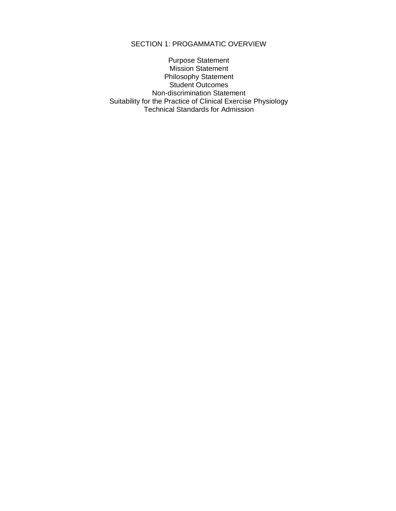# SECTION 1: PROGAMMATIC OVERVIEW

Purpose Statement Mission Statement Philosophy Statement Student Outcomes Non-discrimination Statement Suitability for the Practice of Clinical Exercise Physiology Technical Standards for Admission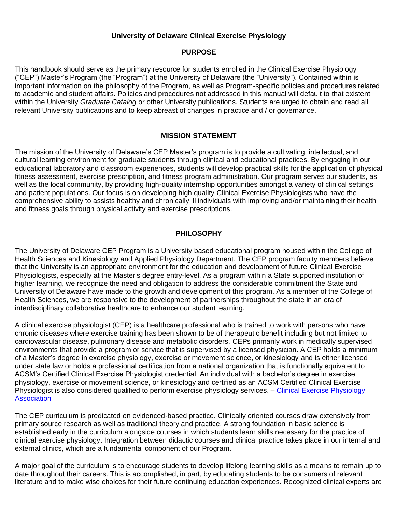# **University of Delaware Clinical Exercise Physiology**

# **PURPOSE**

This handbook should serve as the primary resource for students enrolled in the Clinical Exercise Physiology ("CEP") Master's Program (the "Program") at the University of Delaware (the "University"). Contained within is important information on the philosophy of the Program, as well as Program-specific policies and procedures related to academic and student affairs. Policies and procedures not addressed in this manual will default to that existent within the University *Graduate Catalog* or other University publications. Students are urged to obtain and read all relevant University publications and to keep abreast of changes in practice and / or governance.

# **MISSION STATEMENT**

The mission of the University of Delaware's CEP Master's program is to provide a cultivating, intellectual, and cultural learning environment for graduate students through clinical and educational practices. By engaging in our educational laboratory and classroom experiences, students will develop practical skills for the application of physical fitness assessment, exercise prescription, and fitness program administration. Our program serves our students, as well as the local community, by providing high-quality internship opportunities amongst a variety of clinical settings and patient populations. Our focus is on developing high quality Clinical Exercise Physiologists who have the comprehensive ability to assists healthy and chronically ill individuals with improving and/or maintaining their health and fitness goals through physical activity and exercise prescriptions.

# **PHILOSOPHY**

The University of Delaware CEP Program is a University based educational program housed within the College of Health Sciences and Kinesiology and Applied Physiology Department. The CEP program faculty members believe that the University is an appropriate environment for the education and development of future Clinical Exercise Physiologists, especially at the Master's degree entry-level. As a program within a State supported institution of higher learning, we recognize the need and obligation to address the considerable commitment the State and University of Delaware have made to the growth and development of this program. As a member of the College of Health Sciences, we are responsive to the development of partnerships throughout the state in an era of interdisciplinary collaborative healthcare to enhance our student learning.

A clinical exercise physiologist (CEP) is a healthcare professional who is trained to work with persons who have chronic diseases where exercise training has been shown to be of therapeutic benefit including but not limited to cardiovascular disease, pulmonary disease and metabolic disorders. CEPs primarily work in medically supervised environments that provide a program or service that is supervised by a licensed physician. A CEP holds a minimum of a Master's degree in exercise physiology, exercise or movement science, or kinesiology and is either licensed under state law or holds a professional certification from a national organization that is functionally equivalent to ACSM's Certified Clinical Exercise Physiologist credential. An individual with a bachelor's degree in exercise physiology, exercise or movement science, or kinesiology and certified as an ACSM Certified Clinical Exercise Physiologist is also considered qualified to perform exercise physiology services. – Clinical Exercise Physiology **[Association](https://www.acsm-cepa.org/content.aspx?page_id=274&club_id=324409)** 

The CEP curriculum is predicated on evidenced-based practice. Clinically oriented courses draw extensively from primary source research as well as traditional theory and practice. A strong foundation in basic science is established early in the curriculum alongside courses in which students learn skills necessary for the practice of clinical exercise physiology. Integration between didactic courses and clinical practice takes place in our internal and external clinics, which are a fundamental component of our Program.

A major goal of the curriculum is to encourage students to develop lifelong learning skills as a means to remain up to date throughout their careers. This is accomplished, in part, by educating students to be consumers of relevant literature and to make wise choices for their future continuing education experiences. Recognized clinical experts are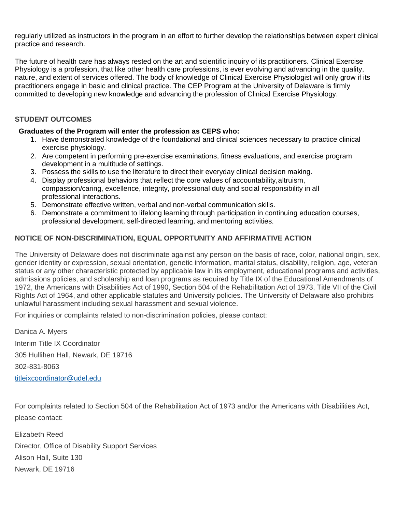regularly utilized as instructors in the program in an effort to further develop the relationships between expert clinical practice and research.

The future of health care has always rested on the art and scientific inquiry of its practitioners. Clinical Exercise Physiology is a profession, that like other health care professions, is ever evolving and advancing in the quality, nature, and extent of services offered. The body of knowledge of Clinical Exercise Physiologist will only grow if its practitioners engage in basic and clinical practice. The CEP Program at the University of Delaware is firmly committed to developing new knowledge and advancing the profession of Clinical Exercise Physiology.

# **STUDENT OUTCOMES**

# **Graduates of the Program will enter the profession as CEPS who:**

- 1. Have demonstrated knowledge of the foundational and clinical sciences necessary to practice clinical exercise physiology.
- 2. Are competent in performing pre-exercise examinations, fitness evaluations, and exercise program development in a multitude of settings.
- 3. Possess the skills to use the literature to direct their everyday clinical decision making.
- 4. Display professional behaviors that reflect the core values of accountability, altruism, compassion/caring, excellence, integrity, professional duty and social responsibility in all professional interactions.
- 5. Demonstrate effective written, verbal and non-verbal communication skills.
- 6. Demonstrate a commitment to lifelong learning through participation in continuing education courses, professional development, self-directed learning, and mentoring activities.

# **NOTICE OF NON-DISCRIMINATION, EQUAL OPPORTUNITY AND AFFIRMATIVE ACTION**

The University of Delaware does not discriminate against any person on the basis of race, color, national origin, sex, gender identity or expression, sexual orientation, genetic information, marital status, disability, religion, age, veteran status or any other characteristic protected by applicable law in its employment, educational programs and activities, admissions policies, and scholarship and loan programs as required by Title IX of the Educational Amendments of 1972, the Americans with Disabilities Act of 1990, Section 504 of the Rehabilitation Act of 1973, Title VII of the Civil Rights Act of 1964, and other applicable statutes and University policies. The University of Delaware also prohibits unlawful harassment including sexual harassment and sexual violence.

For inquiries or complaints related to non-discrimination policies, please contact:

Danica A. Myers Interim Title IX Coordinator 305 Hullihen Hall, Newark, DE 19716 302-831-8063 [titleixcoordinator@udel.edu](mailto:titleixcoordinator@udel.edu)

For complaints related to Section 504 of the Rehabilitation Act of 1973 and/or the Americans with Disabilities Act, please contact:

Elizabeth Reed Director, Office of Disability Support Services Alison Hall, Suite 130 Newark, DE 19716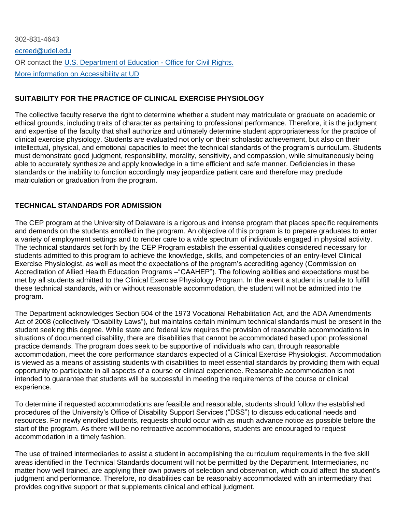302-831-464[3](mailto:ecreed@udel.edu) [ecreed@udel.edu](mailto:ecreed@udel.edu) OR contact the U.S. [Department](https://www2.ed.gov/about/offices/list/ocr/know.html?src=ft) of Education - Office for Civil Rights. More information on [Accessibility](https://www.udel.edu/home/legal-notices/accessibility/) at UD

# **SUITABILITY FOR THE PRACTICE OF CLINICAL EXERCISE PHYSIOLOGY**

The collective faculty reserve the right to determine whether a student may matriculate or graduate on academic or ethical grounds, including traits of character as pertaining to professional performance. Therefore, it is the judgment and expertise of the faculty that shall authorize and ultimately determine student appropriateness for the practice of clinical exercise physiology. Students are evaluated not only on their scholastic achievement, but also on their intellectual, physical, and emotional capacities to meet the technical standards of the program's curriculum. Students must demonstrate good judgment, responsibility, morality, sensitivity, and compassion, while simultaneously being able to accurately synthesize and apply knowledge in a time efficient and safe manner. Deficiencies in these standards or the inability to function accordingly may jeopardize patient care and therefore may preclude matriculation or graduation from the program.

# **TECHNICAL STANDARDS FOR ADMISSION**

The CEP program at the University of Delaware is a rigorous and intense program that places specific requirements and demands on the students enrolled in the program. An objective of this program is to prepare graduates to enter a variety of employment settings and to render care to a wide spectrum of individuals engaged in physical activity. The technical standards set forth by the CEP Program establish the essential qualities considered necessary for students admitted to this program to achieve the knowledge, skills, and competencies of an entry-level Clinical Exercise Physiologist, as well as meet the expectations of the program's accrediting agency (Commission on Accreditation of Allied Health Education Programs –"CAAHEP"). The following abilities and expectations must be met by all students admitted to the Clinical Exercise Physiology Program. In the event a student is unable to fulfill these technical standards, with or without reasonable accommodation, the student will not be admitted into the program.

The Department acknowledges Section 504 of the 1973 Vocational Rehabilitation Act, and the ADA Amendments Act of 2008 (collectively "Disability Laws"), but maintains certain minimum technical standards must be present in the student seeking this degree. While state and federal law requires the provision of reasonable accommodations in situations of documented disability, there are disabilities that cannot be accommodated based upon professional practice demands. The program does seek to be supportive of individuals who can, through reasonable accommodation, meet the core performance standards expected of a Clinical Exercise Physiologist. Accommodation is viewed as a means of assisting students with disabilities to meet essential standards by providing them with equal opportunity to participate in all aspects of a course or clinical experience. Reasonable accommodation is not intended to guarantee that students will be successful in meeting the requirements of the course or clinical experience.

To determine if requested accommodations are feasible and reasonable, students should follow the established procedures of the University's Office of Disability Support Services ("DSS") to discuss educational needs and resources. For newly enrolled students, requests should occur with as much advance notice as possible before the start of the program. As there will be no retroactive accommodations, students are encouraged to request accommodation in a timely fashion.

The use of trained intermediaries to assist a student in accomplishing the curriculum requirements in the five skill areas identified in the Technical Standards document will not be permitted by the Department. Intermediaries, no matter how well trained, are applying their own powers of selection and observation, which could affect the student's judgment and performance. Therefore, no disabilities can be reasonably accommodated with an intermediary that provides cognitive support or that supplements clinical and ethical judgment.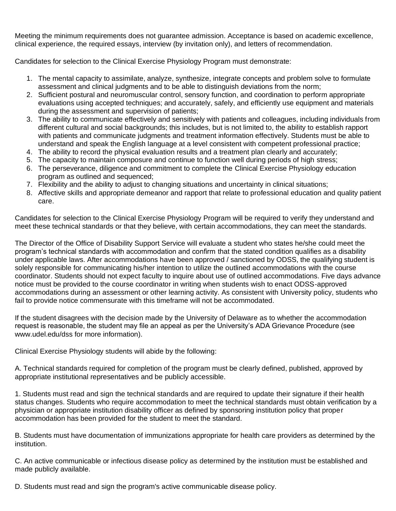Meeting the minimum requirements does not guarantee admission. Acceptance is based on academic excellence, clinical experience, the required essays, interview (by invitation only), and letters of recommendation.

Candidates for selection to the Clinical Exercise Physiology Program must demonstrate:

- 1. The mental capacity to assimilate, analyze, synthesize, integrate concepts and problem solve to formulate assessment and clinical judgments and to be able to distinguish deviations from the norm;
- 2. Sufficient postural and neuromuscular control, sensory function, and coordination to perform appropriate evaluations using accepted techniques; and accurately, safely, and efficiently use equipment and materials during the assessment and supervision of patients;
- 3. The ability to communicate effectively and sensitively with patients and colleagues, including individuals from different cultural and social backgrounds; this includes, but is not limited to, the ability to establish rapport with patients and communicate judgments and treatment information effectively. Students must be able to understand and speak the English language at a level consistent with competent professional practice;
- 4. The ability to record the physical evaluation results and a treatment plan clearly and accurately;
- 5. The capacity to maintain composure and continue to function well during periods of high stress;
- 6. The perseverance, diligence and commitment to complete the Clinical Exercise Physiology education program as outlined and sequenced;
- 7. Flexibility and the ability to adjust to changing situations and uncertainty in clinical situations;
- 8. Affective skills and appropriate demeanor and rapport that relate to professional education and quality patient care.

Candidates for selection to the Clinical Exercise Physiology Program will be required to verify they understand and meet these technical standards or that they believe, with certain accommodations, they can meet the standards.

The Director of the Office of Disability Support Service will evaluate a student who states he/she could meet the program's technical standards with accommodation and confirm that the stated condition qualifies as a disability under applicable laws. After accommodations have been approved / sanctioned by ODSS, the qualifying student is solely responsible for communicating his/her intention to utilize the outlined accommodations with the course coordinator. Students should not expect faculty to inquire about use of outlined accommodations. Five days advance notice must be provided to the course coordinator in writing when students wish to enact ODSS-approved accommodations during an assessment or other learning activity. As consistent with University policy, students who fail to provide notice commensurate with this timeframe will not be accommodated.

If the student disagrees with the decision made by the University of Delaware as to whether the accommodation request is reasonable, the student may file an appeal as per the University's ADA Grievance Procedure (see www.udel.edu/dss for more information).

Clinical Exercise Physiology students will abide by the following:

A. Technical standards required for completion of the program must be clearly defined, published, approved by appropriate institutional representatives and be publicly accessible.

1. Students must read and sign the technical standards and are required to update their signature if their health status changes. Students who require accommodation to meet the technical standards must obtain verification by a physician or appropriate institution disability officer as defined by sponsoring institution policy that proper accommodation has been provided for the student to meet the standard.

B. Students must have documentation of immunizations appropriate for health care providers as determined by the institution.

C. An active communicable or infectious disease policy as determined by the institution must be established and made publicly available.

D. Students must read and sign the program's active communicable disease policy.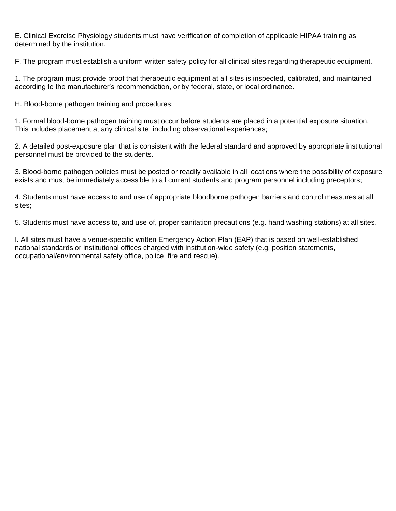E. Clinical Exercise Physiology students must have verification of completion of applicable HIPAA training as determined by the institution.

F. The program must establish a uniform written safety policy for all clinical sites regarding therapeutic equipment.

1. The program must provide proof that therapeutic equipment at all sites is inspected, calibrated, and maintained according to the manufacturer's recommendation, or by federal, state, or local ordinance.

H. Blood-borne pathogen training and procedures:

1. Formal blood-borne pathogen training must occur before students are placed in a potential exposure situation. This includes placement at any clinical site, including observational experiences;

2. A detailed post-exposure plan that is consistent with the federal standard and approved by appropriate institutional personnel must be provided to the students.

3. Blood-borne pathogen policies must be posted or readily available in all locations where the possibility of exposure exists and must be immediately accessible to all current students and program personnel including preceptors;

4. Students must have access to and use of appropriate bloodborne pathogen barriers and control measures at all sites;

5. Students must have access to, and use of, proper sanitation precautions (e.g. hand washing stations) at all sites.

I. All sites must have a venue-specific written Emergency Action Plan (EAP) that is based on well-established national standards or institutional offices charged with institution-wide safety (e.g. position statements, occupational/environmental safety office, police, fire and rescue).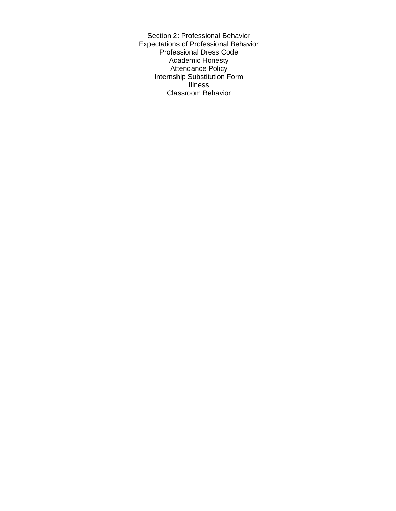Section 2: Professional Behavior Expectations of Professional Behavior Professional Dress Code Academic Honesty Attendance Policy Internship Substitution Form Illness Classroom Behavior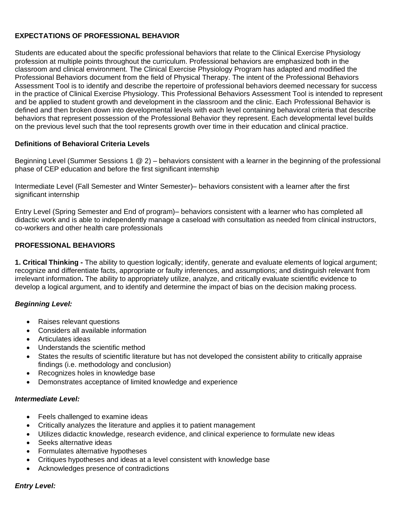# **EXPECTATIONS OF PROFESSIONAL BEHAVIOR**

Students are educated about the specific professional behaviors that relate to the Clinical Exercise Physiology profession at multiple points throughout the curriculum. Professional behaviors are emphasized both in the classroom and clinical environment. The Clinical Exercise Physiology Program has adapted and modified the Professional Behaviors document from the field of Physical Therapy. The intent of the Professional Behaviors Assessment Tool is to identify and describe the repertoire of professional behaviors deemed necessary for success in the practice of Clinical Exercise Physiology. This Professional Behaviors Assessment Tool is intended to represent and be applied to student growth and development in the classroom and the clinic. Each Professional Behavior is defined and then broken down into developmental levels with each level containing behavioral criteria that describe behaviors that represent possession of the Professional Behavior they represent. Each developmental level builds on the previous level such that the tool represents growth over time in their education and clinical practice.

# **Definitions of Behavioral Criteria Levels**

Beginning Level (Summer Sessions 1 @ 2) – behaviors consistent with a learner in the beginning of the professional phase of CEP education and before the first significant internship

Intermediate Level (Fall Semester and Winter Semester)– behaviors consistent with a learner after the first significant internship

Entry Level (Spring Semester and End of program)– behaviors consistent with a learner who has completed all didactic work and is able to independently manage a caseload with consultation as needed from clinical instructors, co-workers and other health care professionals

### **PROFESSIONAL BEHAVIORS**

**1. Critical Thinking -** The ability to question logically; identify, generate and evaluate elements of logical argument; recognize and differentiate facts, appropriate or faulty inferences, and assumptions; and distinguish relevant from irrelevant information**.** The ability to appropriately utilize, analyze, and critically evaluate scientific evidence to develop a logical argument, and to identify and determine the impact of bias on the decision making process.

### *Beginning Level:*

- Raises relevant questions
- Considers all available information
- Articulates ideas
- Understands the scientific method
- States the results of scientific literature but has not developed the consistent ability to critically appraise findings (i.e. methodology and conclusion)
- Recognizes holes in knowledge base
- Demonstrates acceptance of limited knowledge and experience

### *Intermediate Level:*

- Feels challenged to examine ideas
- Critically analyzes the literature and applies it to patient management
- Utilizes didactic knowledge, research evidence, and clinical experience to formulate new ideas
- Seeks alternative ideas
- Formulates alternative hypotheses
- Critiques hypotheses and ideas at a level consistent with knowledge base
- Acknowledges presence of contradictions

# *Entry Level:*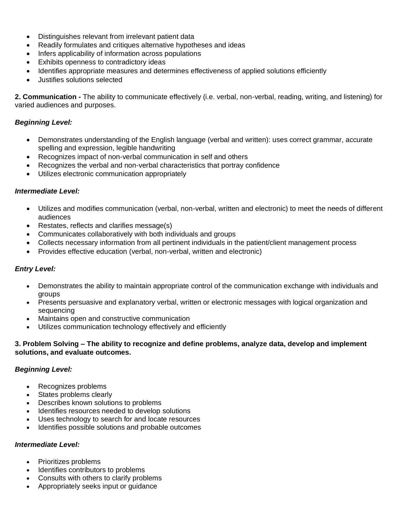- Distinguishes relevant from irrelevant patient data
- Readily formulates and critiques alternative hypotheses and ideas
- Infers applicability of information across populations
- Exhibits openness to contradictory ideas
- Identifies appropriate measures and determines effectiveness of applied solutions efficiently
- Justifies solutions selected

**2. Communication -** The ability to communicate effectively (i.e. verbal, non-verbal, reading, writing, and listening) for varied audiences and purposes.

### *Beginning Level:*

- Demonstrates understanding of the English language (verbal and written): uses correct grammar, accurate spelling and expression, legible handwriting
- Recognizes impact of non-verbal communication in self and others
- Recognizes the verbal and non-verbal characteristics that portray confidence
- Utilizes electronic communication appropriately

### *Intermediate Level:*

- Utilizes and modifies communication (verbal, non-verbal, written and electronic) to meet the needs of different audiences
- Restates, reflects and clarifies message(s)
- Communicates collaboratively with both individuals and groups
- Collects necessary information from all pertinent individuals in the patient/client management process
- Provides effective education (verbal, non-verbal, written and electronic)

# *Entry Level:*

- Demonstrates the ability to maintain appropriate control of the communication exchange with individuals and groups
- Presents persuasive and explanatory verbal, written or electronic messages with logical organization and sequencing
- Maintains open and constructive communication
- Utilizes communication technology effectively and efficiently

### **3. Problem Solving – The ability to recognize and define problems, analyze data, develop and implement solutions, and evaluate outcomes.**

# *Beginning Level:*

- Recognizes problems
- States problems clearly
- Describes known solutions to problems
- Identifies resources needed to develop solutions
- Uses technology to search for and locate resources
- Identifies possible solutions and probable outcomes

### *Intermediate Level:*

- Prioritizes problems
- Identifies contributors to problems
- Consults with others to clarify problems
- Appropriately seeks input or guidance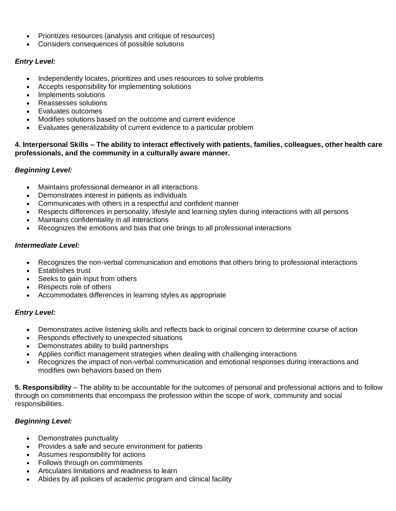- Prioritizes resources (analysis and critique of resources)
- Considers consequences of possible solutions

# *Entry Level:*

- Independently locates, prioritizes and uses resources to solve problems
- Accepts responsibility for implementing solutions
- Implements solutions
- Reassesses solutions
- Evaluates outcomes
- Modifies solutions based on the outcome and current evidence
- Evaluates generalizability of current evidence to a particular problem

# **4. Interpersonal Skills – The ability to interact effectively with patients, families, colleagues, other health care professionals, and the community in a culturally aware manner.**

# *Beginning Level:*

- Maintains professional demeanor in all interactions
- Demonstrates interest in patients as individuals
- Communicates with others in a respectful and confident manner
- Respects differences in personality, lifestyle and learning styles during interactions with all persons
- Maintains confidentiality in all interactions
- Recognizes the emotions and bias that one brings to all professional interactions

# *Intermediate Level:*

- Recognizes the non-verbal communication and emotions that others bring to professional interactions
- Establishes trust
- Seeks to gain input from others
- Respects role of others
- Accommodates differences in learning styles as appropriate

# *Entry Level:*

- Demonstrates active listening skills and reflects back to original concern to determine course of action
- Responds effectively to unexpected situations
- Demonstrates ability to build partnerships
- Applies conflict management strategies when dealing with challenging interactions
- Recognizes the impact of non-verbal communication and emotional responses during interactions and modifies own behaviors based on them

**5. Responsibility** – The ability to be accountable for the outcomes of personal and professional actions and to follow through on commitments that encompass the profession within the scope of work, community and social responsibilities.

# *Beginning Level:*

- Demonstrates punctuality
- Provides a safe and secure environment for patients
- Assumes responsibility for actions
- Follows through on commitments
- Articulates limitations and readiness to learn
- Abides by all policies of academic program and clinical facility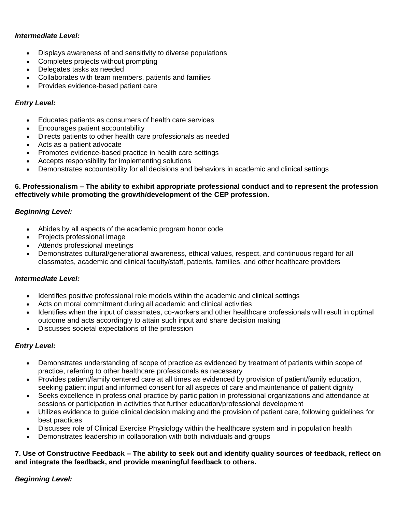# *Intermediate Level:*

- Displays awareness of and sensitivity to diverse populations
- Completes projects without prompting
- Delegates tasks as needed
- Collaborates with team members, patients and families
- Provides evidence-based patient care

# *Entry Level:*

- Educates patients as consumers of health care services
- Encourages patient accountability
- Directs patients to other health care professionals as needed
- Acts as a patient advocate
- Promotes evidence-based practice in health care settings
- Accepts responsibility for implementing solutions
- Demonstrates accountability for all decisions and behaviors in academic and clinical settings

### **6. Professionalism – The ability to exhibit appropriate professional conduct and to represent the profession effectively while promoting the growth/development of the CEP profession.**

# *Beginning Level:*

- Abides by all aspects of the academic program honor code
- Projects professional image
- Attends professional meetings
- Demonstrates cultural/generational awareness, ethical values, respect, and continuous regard for all classmates, academic and clinical faculty/staff, patients, families, and other healthcare providers

# *Intermediate Level:*

- Identifies positive professional role models within the academic and clinical settings
- Acts on moral commitment during all academic and clinical activities
- Identifies when the input of classmates, co-workers and other healthcare professionals will result in optimal outcome and acts accordingly to attain such input and share decision making
- Discusses societal expectations of the profession

# *Entry Level:*

- Demonstrates understanding of scope of practice as evidenced by treatment of patients within scope of practice, referring to other healthcare professionals as necessary
- Provides patient/family centered care at all times as evidenced by provision of patient/family education, seeking patient input and informed consent for all aspects of care and maintenance of patient dignity
- Seeks excellence in professional practice by participation in professional organizations and attendance at sessions or participation in activities that further education/professional development
- Utilizes evidence to guide clinical decision making and the provision of patient care, following guidelines for best practices
- Discusses role of Clinical Exercise Physiology within the healthcare system and in population health
- Demonstrates leadership in collaboration with both individuals and groups

# **7. Use of Constructive Feedback – The ability to seek out and identify quality sources of feedback, reflect on and integrate the feedback, and provide meaningful feedback to others.**

# *Beginning Level:*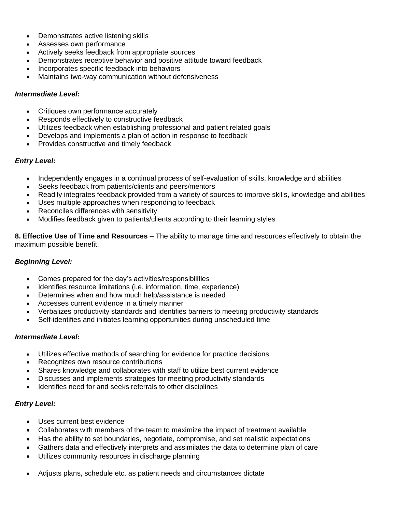- Demonstrates active listening skills
- Assesses own performance
- Actively seeks feedback from appropriate sources
- Demonstrates receptive behavior and positive attitude toward feedback
- Incorporates specific feedback into behaviors
- Maintains two-way communication without defensiveness

### *Intermediate Level:*

- Critiques own performance accurately
- Responds effectively to constructive feedback
- Utilizes feedback when establishing professional and patient related goals
- Develops and implements a plan of action in response to feedback
- Provides constructive and timely feedback

# *Entry Level:*

- Independently engages in a continual process of self-evaluation of skills, knowledge and abilities
- Seeks feedback from patients/clients and peers/mentors
- Readily integrates feedback provided from a variety of sources to improve skills, knowledge and abilities
- Uses multiple approaches when responding to feedback
- Reconciles differences with sensitivity
- Modifies feedback given to patients/clients according to their learning styles

**8. Effective Use of Time and Resources** – The ability to manage time and resources effectively to obtain the maximum possible benefit.

### *Beginning Level:*

- Comes prepared for the day's activities/responsibilities
- Identifies resource limitations (i.e. information, time, experience)
- Determines when and how much help/assistance is needed
- Accesses current evidence in a timely manner
- Verbalizes productivity standards and identifies barriers to meeting productivity standards
- Self-identifies and initiates learning opportunities during unscheduled time

# *Intermediate Level:*

- Utilizes effective methods of searching for evidence for practice decisions
- Recognizes own resource contributions
- Shares knowledge and collaborates with staff to utilize best current evidence
- Discusses and implements strategies for meeting productivity standards
- Identifies need for and seeks referrals to other disciplines

# *Entry Level:*

- Uses current best evidence
- Collaborates with members of the team to maximize the impact of treatment available
- Has the ability to set boundaries, negotiate, compromise, and set realistic expectations
- Gathers data and effectively interprets and assimilates the data to determine plan of care
- Utilizes community resources in discharge planning
- Adjusts plans, schedule etc. as patient needs and circumstances dictate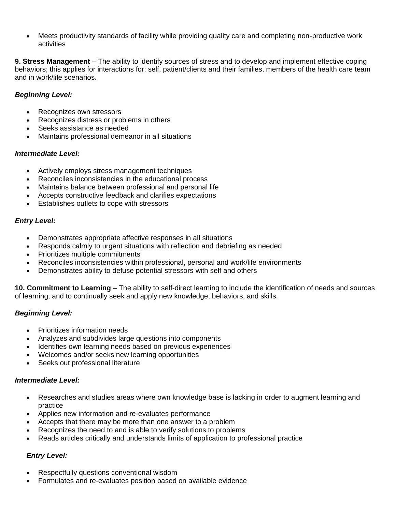• Meets productivity standards of facility while providing quality care and completing non-productive work activities

**9. Stress Management** – The ability to identify sources of stress and to develop and implement effective coping behaviors; this applies for interactions for: self, patient/clients and their families, members of the health care team and in work/life scenarios.

# *Beginning Level:*

- Recognizes own stressors
- Recognizes distress or problems in others
- Seeks assistance as needed
- Maintains professional demeanor in all situations

# *Intermediate Level:*

- Actively employs stress management techniques
- Reconciles inconsistencies in the educational process
- Maintains balance between professional and personal life
- Accepts constructive feedback and clarifies expectations
- Establishes outlets to cope with stressors

# *Entry Level:*

- Demonstrates appropriate affective responses in all situations
- Responds calmly to urgent situations with reflection and debriefing as needed
- Prioritizes multiple commitments
- Reconciles inconsistencies within professional, personal and work/life environments
- Demonstrates ability to defuse potential stressors with self and others

**10. Commitment to Learning** – The ability to self-direct learning to include the identification of needs and sources of learning; and to continually seek and apply new knowledge, behaviors, and skills.

# *Beginning Level:*

- Prioritizes information needs
- Analyzes and subdivides large questions into components
- Identifies own learning needs based on previous experiences
- Welcomes and/or seeks new learning opportunities
- Seeks out professional literature

# *Intermediate Level:*

- Researches and studies areas where own knowledge base is lacking in order to augment learning and practice
- Applies new information and re-evaluates performance
- Accepts that there may be more than one answer to a problem
- Recognizes the need to and is able to verify solutions to problems
- Reads articles critically and understands limits of application to professional practice

# *Entry Level:*

- Respectfully questions conventional wisdom
- Formulates and re-evaluates position based on available evidence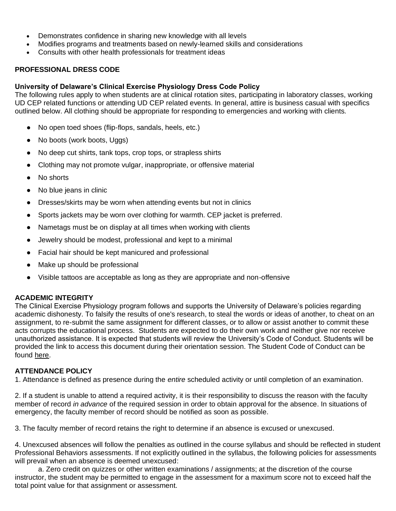- Demonstrates confidence in sharing new knowledge with all levels
- Modifies programs and treatments based on newly-learned skills and considerations
- Consults with other health professionals for treatment ideas

# **PROFESSIONAL DRESS CODE**

# **University of Delaware's Clinical Exercise Physiology Dress Code Policy**

The following rules apply to when students are at clinical rotation sites, participating in laboratory classes, working UD CEP related functions or attending UD CEP related events. In general, attire is business casual with specifics outlined below. All clothing should be appropriate for responding to emergencies and working with clients.

- No open toed shoes (flip-flops, sandals, heels, etc.)
- No boots (work boots, Uggs)
- No deep cut shirts, tank tops, crop tops, or strapless shirts
- Clothing may not promote vulgar, inappropriate, or offensive material
- No shorts
- No blue jeans in clinic
- Dresses/skirts may be worn when attending events but not in clinics
- Sports jackets may be worn over clothing for warmth. CEP jacket is preferred.
- Nametags must be on display at all times when working with clients
- Jewelry should be modest, professional and kept to a minimal
- Facial hair should be kept manicured and professional
- Make up should be professional
- Visible tattoos are acceptable as long as they are appropriate and non-offensive

# **ACADEMIC INTEGRITY**

The Clinical Exercise Physiology program follows and supports the University of Delaware's policies regarding academic dishonesty. To falsify the results of one's research, to steal the words or ideas of another, to cheat on an assignment, to re-submit the same assignment for different classes, or to allow or assist another to commit these acts corrupts the educational process. Students are expected to do their own work and neither give nor receive unauthorized assistance. It is expected that students will review the University's Code of Conduct. Students will be provided the link to access this document during their orientation session. The Student Code of Conduct can be found [here.](http://www1.udel.edu/stuguide/20-21/index.html)

# **ATTENDANCE POLICY**

1. Attendance is defined as presence during the *entire* scheduled activity or until completion of an examination.

2. If a student is unable to attend a required activity, it is their responsibility to discuss the reason with the faculty member of record *in advance* of the required session in order to obtain approval for the absence. In situations of emergency, the faculty member of record should be notified as soon as possible.

3. The faculty member of record retains the right to determine if an absence is excused or unexcused.

4. Unexcused absences will follow the penalties as outlined in the course syllabus and should be reflected in student Professional Behaviors assessments. If not explicitly outlined in the syllabus, the following policies for assessments will prevail when an absence is deemed unexcused:

a. Zero credit on quizzes or other written examinations / assignments; at the discretion of the course instructor, the student may be permitted to engage in the assessment for a maximum score not to exceed half the total point value for that assignment or assessment.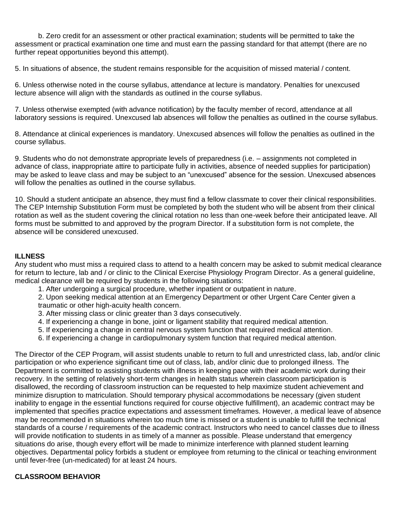b. Zero credit for an assessment or other practical examination; students will be permitted to take the assessment or practical examination one time and must earn the passing standard for that attempt (there are no further repeat opportunities beyond this attempt).

5. In situations of absence, the student remains responsible for the acquisition of missed material / content.

6. Unless otherwise noted in the course syllabus, attendance at lecture is mandatory. Penalties for unexcused lecture absence will align with the standards as outlined in the course syllabus.

7. Unless otherwise exempted (with advance notification) by the faculty member of record, attendance at all laboratory sessions is required. Unexcused lab absences will follow the penalties as outlined in the course syllabus.

8. Attendance at clinical experiences is mandatory. Unexcused absences will follow the penalties as outlined in the course syllabus.

9. Students who do not demonstrate appropriate levels of preparedness (i.e. – assignments not completed in advance of class, inappropriate attire to participate fully in activities, absence of needed supplies for participation) may be asked to leave class and may be subject to an "unexcused" absence for the session. Unexcused absences will follow the penalties as outlined in the course syllabus.

10. Should a student anticipate an absence, they must find a fellow classmate to cover their clinical responsibilities. The CEP Internship Substitution Form must be completed by both the student who will be absent from their clinical rotation as well as the student covering the clinical rotation no less than one-week before their anticipated leave. All forms must be submitted to and approved by the program Director. If a substitution form is not complete, the absence will be considered unexcused.

# **ILLNESS**

Any student who must miss a required class to attend to a health concern may be asked to submit medical clearance for return to lecture, lab and / or clinic to the Clinical Exercise Physiology Program Director. As a general guideline, medical clearance will be required by students in the following situations:

- 1. After undergoing a surgical procedure, whether inpatient or outpatient in nature.
- 2. Upon seeking medical attention at an Emergency Department or other Urgent Care Center given a traumatic or other high-acuity health concern.
- 3. After missing class or clinic greater than 3 days consecutively.
- 4. If experiencing a change in bone, joint or ligament stability that required medical attention.
- 5. If experiencing a change in central nervous system function that required medical attention.
- 6. If experiencing a change in cardiopulmonary system function that required medical attention.

The Director of the CEP Program, will assist students unable to return to full and unrestricted class, lab, and/or clinic participation or who experience significant time out of class, lab, and/or clinic due to prolonged illness. The Department is committed to assisting students with illness in keeping pace with their academic work during their recovery. In the setting of relatively short-term changes in health status wherein classroom participation is disallowed, the recording of classroom instruction can be requested to help maximize student achievement and minimize disruption to matriculation. Should temporary physical accommodations be necessary (given student inability to engage in the essential functions required for course objective fulfillment), an academic contract may be implemented that specifies practice expectations and assessment timeframes. However, a medical leave of absence may be recommended in situations wherein too much time is missed or a student is unable to fulfill the technical standards of a course / requirements of the academic contract. Instructors who need to cancel classes due to illness will provide notification to students in as timely of a manner as possible. Please understand that emergency situations do arise, though every effort will be made to minimize interference with planned student learning objectives. Departmental policy forbids a student or employee from returning to the clinical or teaching environment until fever-free (un-medicated) for at least 24 hours.

### **CLASSROOM BEHAVIOR**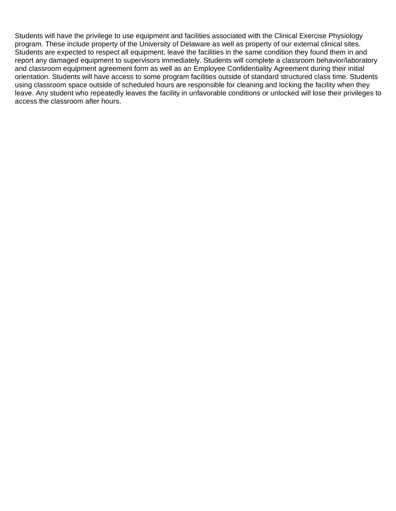Students will have the privilege to use equipment and facilities associated with the Clinical Exercise Physiology program. These include property of the University of Delaware as well as property of our external clinical sites. Students are expected to respect all equipment, leave the facilities in the same condition they found them in and report any damaged equipment to supervisors immediately. Students will complete a classroom behavior/laboratory and classroom equipment agreement form as well as an Employee Confidentiality Agreement during their initial orientation. Students will have access to some program facilities outside of standard structured class time. Students using classroom space outside of scheduled hours are responsible for cleaning and locking the facility when they leave. Any student who repeatedly leaves the facility in unfavorable conditions or unlocked will lose their privileges to access the classroom after hours.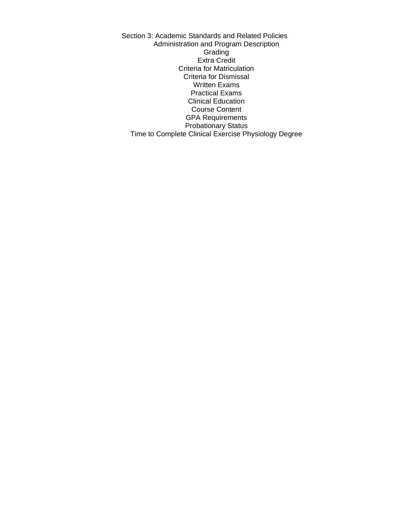Section 3: Academic Standards and Related Policies Administration and Program Description **Grading** Extra Credit Criteria for Matriculation Criteria for Dismissal Written Exams Practical Exams Clinical Education Course Content GPA Requirements Probationary Status Time to Complete Clinical Exercise Physiology Degree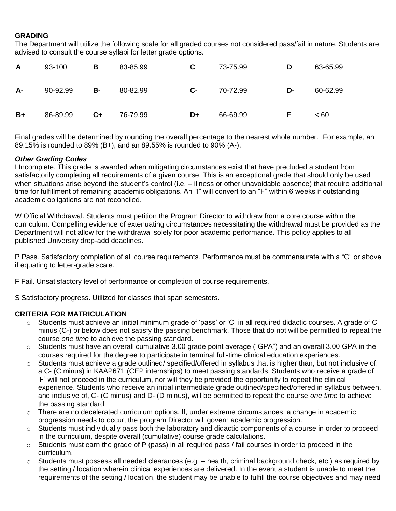# **GRADING**

The Department will utilize the following scale for all graded courses not considered pass/fail in nature. Students are advised to consult the course syllabi for letter grade options.

| A         | 93-100   | В    | 83-85.99 | C  | 73-75.99 | D  | 63-65.99 |
|-----------|----------|------|----------|----|----------|----|----------|
| <b>A-</b> | 90-92.99 | в-   | 80-82.99 | C- | 70-72.99 | D- | 60-62.99 |
| $B+$      | 86-89.99 | $C+$ | 76-79.99 | D+ | 66-69.99 | F  | ~< 60    |

Final grades will be determined by rounding the overall percentage to the nearest whole number. For example, an 89.15% is rounded to 89% (B+), and an 89.55% is rounded to 90% (A-).

# *Other Grading Codes*

I Incomplete. This grade is awarded when mitigating circumstances exist that have precluded a student from satisfactorily completing all requirements of a given course. This is an exceptional grade that should only be used when situations arise beyond the student's control (i.e. – illness or other unavoidable absence) that require additional time for fulfillment of remaining academic obligations. An "I" will convert to an "F" within 6 weeks if outstanding academic obligations are not reconciled.

W Official Withdrawal. Students must petition the Program Director to withdraw from a core course within the curriculum. Compelling evidence of extenuating circumstances necessitating the withdrawal must be provided as the Department will not allow for the withdrawal solely for poor academic performance. This policy applies to all published University drop-add deadlines.

P Pass. Satisfactory completion of all course requirements. Performance must be commensurate with a "C" or above if equating to letter-grade scale.

F Fail. Unsatisfactory level of performance or completion of course requirements.

S Satisfactory progress. Utilized for classes that span semesters.

# **CRITERIA FOR MATRICULATION**

- o Students must achieve an initial minimum grade of 'pass' or 'C' in all required didactic courses. A grade of C minus (C-) or below does not satisfy the passing benchmark. Those that do not will be permitted to repeat the course *one time* to achieve the passing standard.
- o Students must have an overall cumulative 3.00 grade point average ("GPA") and an overall 3.00 GPA in the courses required for the degree to participate in terminal full-time clinical education experiences.
- o Students must achieve a grade outlined/ specified/offered in syllabus that is higher than, but not inclusive of, a C- (C minus) in KAAP671 (CEP internships) to meet passing standards. Students who receive a grade of 'F' will not proceed in the curriculum, nor will they be provided the opportunity to repeat the clinical experience. Students who receive an initial intermediate grade outlined/specified/offered in syllabus between, and inclusive of, C- (C minus) and D- (D minus), will be permitted to repeat the course *one time* to achieve the passing standard
- $\circ$  There are no decelerated curriculum options. If, under extreme circumstances, a change in academic progression needs to occur, the program Director will govern academic progression.
- o Students must individually pass both the laboratory and didactic components of a course in order to proceed in the curriculum, despite overall (cumulative) course grade calculations.
- $\circ$  Students must earn the grade of P (pass) in all required pass / fail courses in order to proceed in the curriculum.
- o Students must possess all needed clearances (e.g. health, criminal background check, etc.) as required by the setting / location wherein clinical experiences are delivered. In the event a student is unable to meet the requirements of the setting / location, the student may be unable to fulfill the course objectives and may need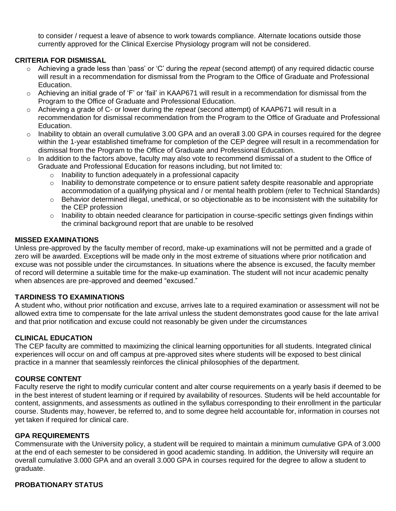to consider / request a leave of absence to work towards compliance. Alternate locations outside those currently approved for the Clinical Exercise Physiology program will not be considered.

# **CRITERIA FOR DISMISSAL**

- o Achieving a grade less than 'pass' or 'C' during the *repeat* (second attempt) of any required didactic course will result in a recommendation for dismissal from the Program to the Office of Graduate and Professional Education.
- $\circ$  Achieving an initial grade of 'F' or 'fail' in KAAP671 will result in a recommendation for dismissal from the Program to the Office of Graduate and Professional Education.
- o Achieving a grade of C- or lower during the *repeat* (second attempt) of KAAP671 will result in a recommendation for dismissal recommendation from the Program to the Office of Graduate and Professional Education.
- $\circ$  Inability to obtain an overall cumulative 3.00 GPA and an overall 3.00 GPA in courses required for the degree within the 1-year established timeframe for completion of the CEP degree will result in a recommendation for dismissal from the Program to the Office of Graduate and Professional Education.
- $\circ$  In addition to the factors above, faculty may also vote to recommend dismissal of a student to the Office of Graduate and Professional Education for reasons including, but not limited to:
	- o Inability to function adequately in a professional capacity
	- $\circ$  Inability to demonstrate competence or to ensure patient safety despite reasonable and appropriate accommodation of a qualifying physical and / or mental health problem (refer to Technical Standards)
	- o Behavior determined illegal, unethical, or so objectionable as to be inconsistent with the suitability for the CEP profession
	- $\circ$  Inability to obtain needed clearance for participation in course-specific settings given findings within the criminal background report that are unable to be resolved

# **MISSED EXAMINATIONS**

Unless pre-approved by the faculty member of record, make-up examinations will not be permitted and a grade of zero will be awarded. Exceptions will be made only in the most extreme of situations where prior notification and excuse was not possible under the circumstances. In situations where the absence is excused, the faculty member of record will determine a suitable time for the make-up examination. The student will not incur academic penalty when absences are pre-approved and deemed "excused."

# **TARDINESS TO EXAMINATIONS**

A student who, without prior notification and excuse, arrives late to a required examination or assessment will not be allowed extra time to compensate for the late arrival unless the student demonstrates good cause for the late arrival and that prior notification and excuse could not reasonably be given under the circumstances

# **CLINICAL EDUCATION**

The CEP faculty are committed to maximizing the clinical learning opportunities for all students. Integrated clinical experiences will occur on and off campus at pre-approved sites where students will be exposed to best clinical practice in a manner that seamlessly reinforces the clinical philosophies of the department.

# **COURSE CONTENT**

Faculty reserve the right to modify curricular content and alter course requirements on a yearly basis if deemed to be in the best interest of student learning or if required by availability of resources. Students will be held accountable for content, assignments, and assessments as outlined in the syllabus corresponding to their enrollment in the particular course. Students may, however, be referred to, and to some degree held accountable for, information in courses not yet taken if required for clinical care.

# **GPA REQUIREMENTS**

Commensurate with the University policy, a student will be required to maintain a minimum cumulative GPA of 3.000 at the end of each semester to be considered in good academic standing. In addition, the University will require an overall cumulative 3.000 GPA and an overall 3.000 GPA in courses required for the degree to allow a student to graduate.

# **PROBATIONARY STATUS**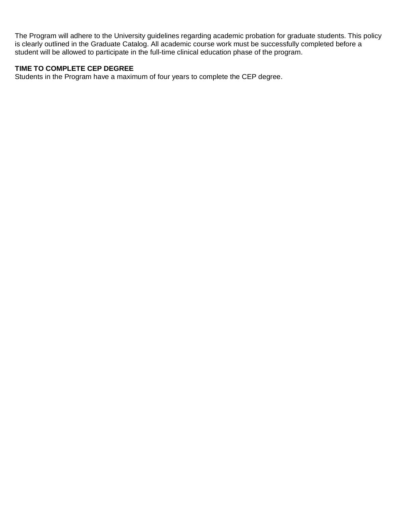The Program will adhere to the University guidelines regarding academic probation for graduate students. This policy is clearly outlined in the Graduate Catalog. All academic course work must be successfully completed before a student will be allowed to participate in the full-time clinical education phase of the program.

# **TIME TO COMPLETE CEP DEGREE**

Students in the Program have a maximum of four years to complete the CEP degree.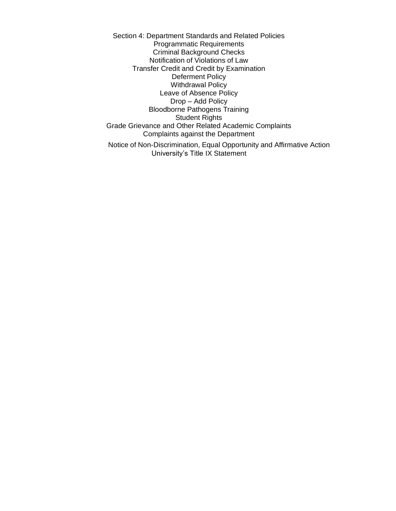Section 4: Department Standards and Related Policies Programmatic Requirements Criminal Background Checks Notification of Violations of Law Transfer Credit and Credit by Examination Deferment Policy Withdrawal Policy Leave of Absence Policy Drop – Add Policy Bloodborne Pathogens Training Student Rights Grade Grievance and Other Related Academic Complaints Complaints against the Department

Notice of Non-Discrimination, Equal Opportunity and Affirmative Action University's Title IX Statement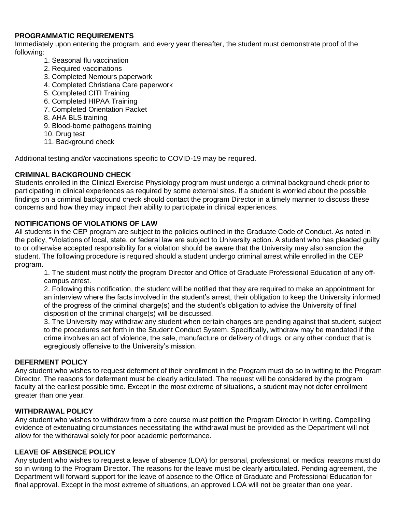# **PROGRAMMATIC REQUIREMENTS**

Immediately upon entering the program, and every year thereafter, the student must demonstrate proof of the following:

- 1. Seasonal flu vaccination
- 2. Required vaccinations
- 3. Completed Nemours paperwork
- 4. Completed Christiana Care paperwork
- 5. Completed CITI Training
- 6. Completed HIPAA Training
- 7. Completed Orientation Packet
- 8. AHA BLS training
- 9. Blood-borne pathogens training
- 10. Drug test
- 11. Background check

Additional testing and/or vaccinations specific to COVID-19 may be required.

# **CRIMINAL BACKGROUND CHECK**

Students enrolled in the Clinical Exercise Physiology program must undergo a criminal background check prior to participating in clinical experiences as required by some external sites. If a student is worried about the possible findings on a criminal background check should contact the program Director in a timely manner to discuss these concerns and how they may impact their ability to participate in clinical experiences.

# **NOTIFICATIONS OF VIOLATIONS OF LAW**

All students in the CEP program are subject to the policies outlined in the Graduate Code of Conduct. As noted in the policy, "Violations of local, state, or federal law are subject to University action. A student who has pleaded guilty to or otherwise accepted responsibility for a violation should be aware that the University may also sanction the student. The following procedure is required should a student undergo criminal arrest while enrolled in the CEP program.

1. The student must notify the program Director and Office of Graduate Professional Education of any offcampus arrest.

2. Following this notification, the student will be notified that they are required to make an appointment for an interview where the facts involved in the student's arrest, their obligation to keep the University informed of the progress of the criminal charge(s) and the student's obligation to advise the University of final disposition of the criminal charge(s) will be discussed.

3. The University may withdraw any student when certain charges are pending against that student, subject to the procedures set forth in the Student Conduct System. Specifically, withdraw may be mandated if the crime involves an act of violence, the sale, manufacture or delivery of drugs, or any other conduct that is egregiously offensive to the University's mission.

# **DEFERMENT POLICY**

Any student who wishes to request deferment of their enrollment in the Program must do so in writing to the Program Director. The reasons for deferment must be clearly articulated. The request will be considered by the program faculty at the earliest possible time. Except in the most extreme of situations, a student may not defer enrollment greater than one year.

# **WITHDRAWAL POLICY**

Any student who wishes to withdraw from a core course must petition the Program Director in writing. Compelling evidence of extenuating circumstances necessitating the withdrawal must be provided as the Department will not allow for the withdrawal solely for poor academic performance.

# **LEAVE OF ABSENCE POLICY**

Any student who wishes to request a leave of absence (LOA) for personal, professional, or medical reasons must do so in writing to the Program Director. The reasons for the leave must be clearly articulated. Pending agreement, the Department will forward support for the leave of absence to the Office of Graduate and Professional Education for final approval. Except in the most extreme of situations, an approved LOA will not be greater than one year.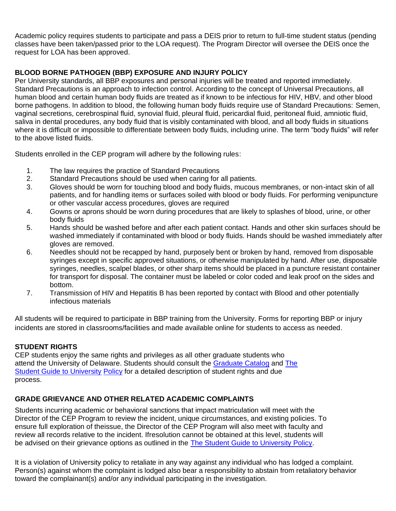Academic policy requires students to participate and pass a DEIS prior to return to full-time student status (pending classes have been taken/passed prior to the LOA request). The Program Director will oversee the DEIS once the request for LOA has been approved.

# **BLOOD BORNE PATHOGEN (BBP) EXPOSURE AND INJURY POLICY**

Per University standards, all BBP exposures and personal injuries will be treated and reported immediately. Standard Precautions is an approach to infection control. According to the concept of Universal Precautions, all human blood and certain human body fluids are treated as if known to be infectious for HIV, HBV, and other blood borne pathogens. In addition to blood, the following human body fluids require use of Standard Precautions: Semen, vaginal secretions, cerebrospinal fluid, synovial fluid, pleural fluid, pericardial fluid, peritoneal fluid, amniotic fluid, saliva in dental procedures, any body fluid that is visibly contaminated with blood, and all body fluids in situations where it is difficult or impossible to differentiate between body fluids, including urine. The term "body fluids" will refer to the above listed fluids.

Students enrolled in the CEP program will adhere by the following rules:

- 1. The law requires the practice of Standard Precautions
- 2. Standard Precautions should be used when caring for all patients.
- 3. Gloves should be worn for touching blood and body fluids, mucous membranes, or non-intact skin of all patients, and for handling items or surfaces soiled with blood or body fluids. For performing venipuncture or other vascular access procedures, gloves are required
- 4. Gowns or aprons should be worn during procedures that are likely to splashes of blood, urine, or other body fluids
- 5. Hands should be washed before and after each patient contact. Hands and other skin surfaces should be washed immediately if contaminated with blood or body fluids. Hands should be washed immediately after gloves are removed.
- 6. Needles should not be recapped by hand, purposely bent or broken by hand, removed from disposable syringes except in specific approved situations, or otherwise manipulated by hand. After use, disposable syringes, needles, scalpel blades, or other sharp items should be placed in a puncture resistant container for transport for disposal. The container must be labeled or color coded and leak proof on the sides and bottom.
- 7. Transmission of HIV and Hepatitis B has been reported by contact with Blood and other potentially infectious materials

All students will be required to participate in BBP training from the University. Forms for reporting BBP or injury incidents are stored in classrooms/facilities and made available online for students to access as needed.

# **STUDENT RIGHTS**

CEP students enjoy the same rights and privileges as all other graduate students who attend the University of Delaware. Students should consult the [Graduate Catalog](https://catalog.udel.edu/index.php) an[d The](http://www1.udel.edu/stuguide/18-19/index.html)  [Student Guide to University](http://www1.udel.edu/stuguide/18-19/index.html) [Policy](http://www1.udel.edu/stuguide/18-19/index.html) for a detailed description of student rights and due process.

# **GRADE GRIEVANCE AND OTHER RELATED ACADEMIC COMPLAINTS**

Students incurring academic or behavioral sanctions that impact matriculation will meet with the Director of the CEP Program to review the incident, unique circumstances, and existing policies. To ensure full exploration of theissue, the Director of the CEP Program will also meet with faculty and review all records relative to the incident. Ifresolution cannot be obtained at this level, students will be advised on their grievance options as outlined in the The Student Guide [to University](http://www1.udel.edu/stuguide/18-19/code.html) Policy.

It is a violation of University policy to retaliate in any way against any individual who has lodged a complaint. Person(s) against whom the complaint is lodged also bear a responsibility to abstain from retaliatory behavior toward the complainant(s) and/or any individual participating in the investigation.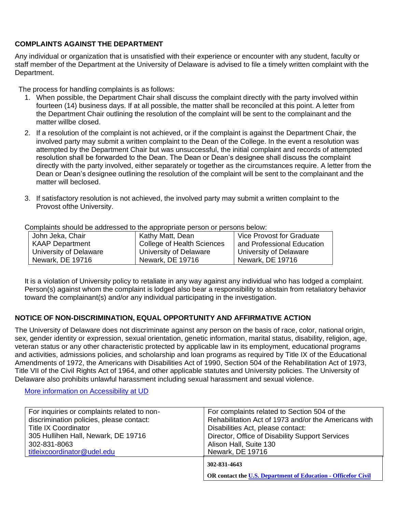# **COMPLAINTS AGAINST THE DEPARTMENT**

Any individual or organization that is unsatisfied with their experience or encounter with any student, faculty or staff member of the Department at the University of Delaware is advised to file a timely written complaint with the Department.

The process for handling complaints is as follows:

- 1. When possible, the Department Chair shall discuss the complaint directly with the party involved within fourteen (14) business days. If at all possible, the matter shall be reconciled at this point. A letter from the Department Chair outlining the resolution of the complaint will be sent to the complainant and the matter willbe closed.
- 2. If a resolution of the complaint is not achieved, or if the complaint is against the Department Chair, the involved party may submit a written complaint to the Dean of the College. In the event a resolution was attempted by the Department Chair but was unsuccessful, the initial complaint and records of attempted resolution shall be forwarded to the Dean. The Dean or Dean's designee shall discuss the complaint directly with the party involved, either separately or together as the circumstances require. A letter from the Dean or Dean's designee outlining the resolution of the complaint will be sent to the complainant and the matter will beclosed.
- 3. If satisfactory resolution is not achieved, the involved party may submit a written complaint to the Provost ofthe University.

| ounplanted onloand bo addressed to the appropriate porcent or poloche bolom. |                                   |                            |  |  |  |
|------------------------------------------------------------------------------|-----------------------------------|----------------------------|--|--|--|
| John Jeka, Chair                                                             | Kathy Matt, Dean                  | Vice Provost for Graduate  |  |  |  |
| <b>KAAP Department</b>                                                       | <b>College of Health Sciences</b> | and Professional Education |  |  |  |
| University of Delaware                                                       | University of Delaware            | University of Delaware     |  |  |  |
| Newark, DE 19716                                                             | Newark, DE 19716                  | Newark, DE 19716           |  |  |  |

Complaints should be addressed to the appropriate person or persons below:

It is a violation of University policy to retaliate in any way against any individual who has lodged a complaint. Person(s) against whom the complaint is lodged also bear a responsibility to abstain from retaliatory behavior toward the complainant(s) and/or any individual participating in the investigation.

# **NOTICE OF NON-DISCRIMINATION, EQUAL OPPORTUNITY AND AFFIRMATIVE ACTION**

The University of Delaware does not discriminate against any person on the basis of race, color, national origin, sex, gender identity or expression, sexual orientation, genetic information, marital status, disability, religion, age, veteran status or any other characteristic protected by applicable law in its employment, educational programs and activities, admissions policies, and scholarship and loan programs as required by Title IX of the Educational Amendments of 1972, the Americans with Disabilities Act of 1990, Section 504 of the Rehabilitation Act of 1973, Title VII of the Civil Rights Act of 1964, and other applicable statutes and University policies. The University of Delaware also prohibits unlawful harassment including sexual harassment and sexual violence.

More information on [Accessibility](https://www.udel.edu/home/legal-notices/accessibility/) at UD

| For inquiries or complaints related to non- | For complaints related to Section 504 of the                                  |
|---------------------------------------------|-------------------------------------------------------------------------------|
| discrimination policies, please contact:    | Rehabilitation Act of 1973 and/or the Americans with                          |
| <b>Title IX Coordinator</b>                 | Disabilities Act, please contact:                                             |
| 305 Hullihen Hall, Newark, DE 19716         | Director, Office of Disability Support Services                               |
| 302-831-8063                                | Alison Hall, Suite 130                                                        |
| titleixcoordinator@udel.edu                 | Newark, DE 19716                                                              |
|                                             | 302-831-4643<br>OR contact the U.S. Department of Education - Officefor Civil |

**[Rights](https://wdcrobcolp01.ed.gov/CFAPPS/OCR/contactus.cfm)**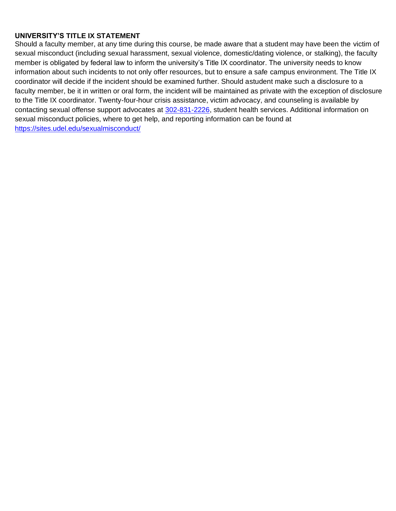# **UNIVERSITY'S TITLE IX STATEMENT**

Should a faculty member, at any time during this course, be made aware that a student may have been the victim of sexual misconduct (including sexual harassment, sexual violence, domestic/dating violence, or stalking), the faculty member is obligated by federal law to inform the university's Title IX coordinator. The university needs to know information about such incidents to not only offer resources, but to ensure a safe campus environment. The Title IX coordinator will decide if the incident should be examined further. Should astudent make such a disclosure to a faculty member, be it in written or oral form, the incident will be maintained as private with the exception of disclosure to the Title IX coordinator. Twenty-four-hour crisis assistance, victim advocacy, and counseling is available by contacting sexual offense support advocates at 302-831-2226, student health services. Additional information on sexual misconduct policies, where to get help, and reporting information can be found at <https://sites.udel.edu/sexualmisconduct/>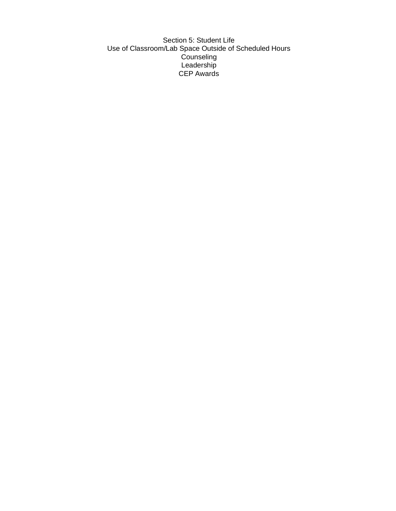Section 5: Student Life Use of Classroom/Lab Space Outside of Scheduled Hours Counseling Leadership CEP Awards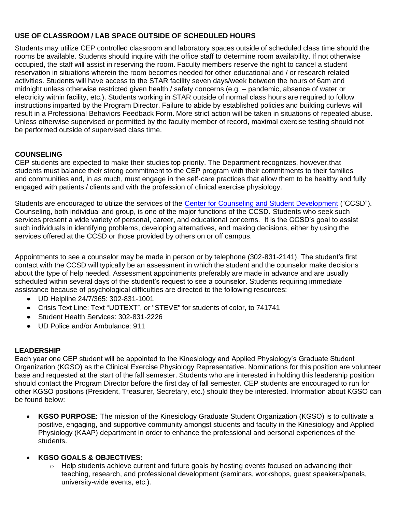# **USE OF CLASSROOM / LAB SPACE OUTSIDE OF SCHEDULED HOURS**

Students may utilize CEP controlled classroom and laboratory spaces outside of scheduled class time should the rooms be available. Students should inquire with the office staff to determine room availability. If not otherwise occupied, the staff will assist in reserving the room. Faculty members reserve the right to cancel a student reservation in situations wherein the room becomes needed for other educational and / or research related activities. Students will have access to the STAR facility seven days/week between the hours of 6am and midnight unless otherwise restricted given health / safety concerns (e.g. – pandemic, absence of water or electricity within facility, etc.). Students working in STAR outside of normal class hours are required to follow instructions imparted by the Program Director. Failure to abide by established policies and building curfews will result in a Professional Behaviors Feedback Form. More strict action will be taken in situations of repeated abuse. Unless otherwise supervised or permitted by the faculty member of record, maximal exercise testing should not be performed outside of supervised class time.

# **COUNSELING**

CEP students are expected to make their studies top priority. The Department recognizes, however,that students must balance their strong commitment to the CEP program with their commitments to their families and communities and, in as much, must engage in the self-care practices that allow them to be healthy and fully engaged with patients / clients and with the profession of clinical exercise physiology.

Students are encouraged to utilize the services of the [Center for Counseling and Student Development](https://sites.udel.edu/counseling/) ("CCSD"). Counseling, both individual and group, is one of the major functions of the CCSD. Students who seek such services present a wide variety of personal, career, and educational concerns. It is the CCSD's goal to assist such individuals in identifying problems, developing alternatives, and making decisions, either by using the services offered at the CCSD or those provided by others on or off campus.

Appointments to see a counselor may be made in person or by telephone (302-831-2141). The student's first contact with the CCSD will typically be an assessment in which the student and the counselor make decisions about the type of help needed. Assessment appointments preferably are made in advance and are usually scheduled within several days of the student's request to see a counselor. Students requiring immediate assistance because of psychological difficulties are directed to the following resources:

- UD Helpline 24/7/365: 302-831-1001
- Crisis Text Line: Text "UDTEXT", or "STEVE" for students of color, to 741741
- Student Health Services: 302-831-2226
- UD Police and/or Ambulance: 911

# **LEADERSHIP**

Each year one CEP student will be appointed to the Kinesiology and Applied Physiology's Graduate Student Organization (KGSO) as the Clinical Exercise Physiology Representative. Nominations for this position are volunteer base and requested at the start of the fall semester. Students who are interested in holding this leadership position should contact the Program Director before the first day of fall semester. CEP students are encouraged to run for other KGSO positions (President, Treasurer, Secretary, etc.) should they be interested. Information about KGSO can be found below:

• **KGSO PURPOSE:** The mission of the Kinesiology Graduate Student Organization (KGSO) is to cultivate a positive, engaging, and supportive community amongst students and faculty in the Kinesiology and Applied Physiology (KAAP) department in order to enhance the professional and personal experiences of the students.

# • **KGSO GOALS & OBJECTIVES:**

 $\circ$  Help students achieve current and future goals by hosting events focused on advancing their teaching, research, and professional development (seminars, workshops, guest speakers/panels, university-wide events, etc.).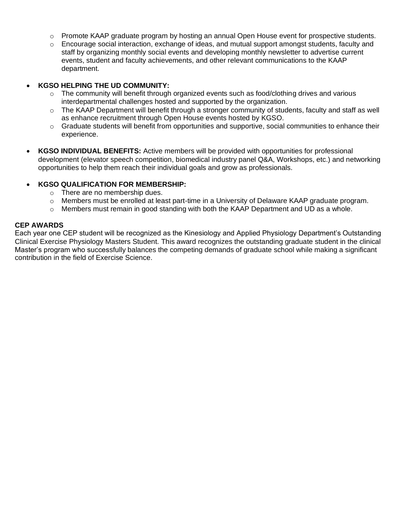- $\circ$  Promote KAAP graduate program by hosting an annual Open House event for prospective students.
- $\circ$  Encourage social interaction, exchange of ideas, and mutual support amongst students, faculty and staff by organizing monthly social events and developing monthly newsletter to advertise current events, student and faculty achievements, and other relevant communications to the KAAP department.

### • **KGSO HELPING THE UD COMMUNITY:**

- $\circ$  The community will benefit through organized events such as food/clothing drives and various interdepartmental challenges hosted and supported by the organization.
- $\circ$  The KAAP Department will benefit through a stronger community of students, faculty and staff as well as enhance recruitment through Open House events hosted by KGSO.
- $\circ$  Graduate students will benefit from opportunities and supportive, social communities to enhance their experience.
- **KGSO INDIVIDUAL BENEFITS:** Active members will be provided with opportunities for professional development (elevator speech competition, biomedical industry panel Q&A, Workshops, etc.) and networking opportunities to help them reach their individual goals and grow as professionals.

### • **KGSO QUALIFICATION FOR MEMBERSHIP:**

- o There are no membership dues.
- $\circ$  Members must be enrolled at least part-time in a University of Delaware KAAP graduate program.
- $\circ$  Members must remain in good standing with both the KAAP Department and UD as a whole.

### **CEP AWARDS**

Each year one CEP student will be recognized as the Kinesiology and Applied Physiology Department's Outstanding Clinical Exercise Physiology Masters Student. This award recognizes the outstanding graduate student in the clinical Master's program who successfully balances the competing demands of graduate school while making a significant contribution in the field of Exercise Science.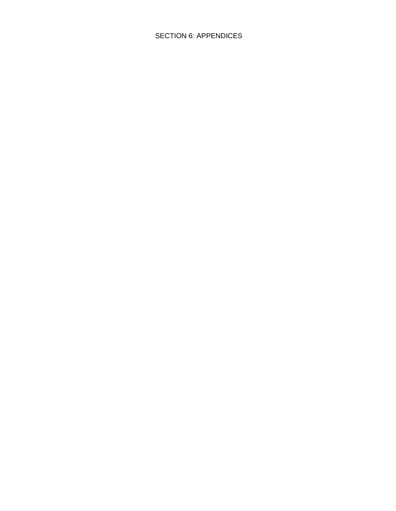# SECTION 6: APPENDICES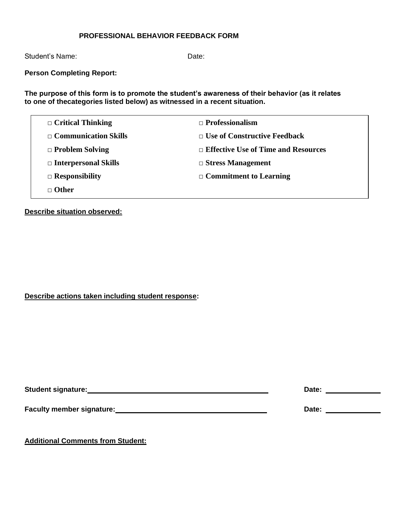# **PROFESSIONAL BEHAVIOR FEEDBACK FORM**

Student's Name: Date: Date:

**Person Completing Report:**

**The purpose of this form is to promote the student's awareness of their behavior (as it relates to one of thecategories listed below) as witnessed in a recent situation.**

| $\Box$ Critical Thinking    | $\Box$ Professionalism                     |
|-----------------------------|--------------------------------------------|
| $\Box$ Communication Skills | $\Box$ Use of Constructive Feedback        |
| $\Box$ Problem Solving      | $\Box$ Effective Use of Time and Resources |
| $\Box$ Interpersonal Skills | $\Box$ Stress Management                   |
| $\Box$ Responsibility       | $\Box$ Commitment to Learning              |
| $\Box$ Other                |                                            |

# **Describe situation observed:**

# **Describe actions taken including student response:**

| <b>Student signature:</b>        | Date: |
|----------------------------------|-------|
| <b>Faculty member signature:</b> | Date: |

**Additional Comments from Student:**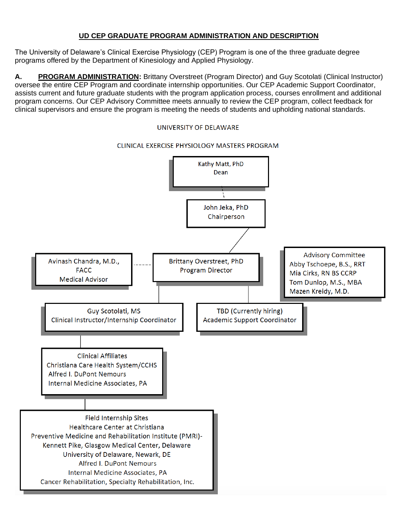# **UD CEP GRADUATE PROGRAM ADMINISTRATION AND DESCRIPTION**

The University of Delaware's Clinical Exercise Physiology (CEP) Program is one of the three graduate degree programs offered by the Department of Kinesiology and Applied Physiology.

**A. PROGRAM ADMINISTRATION:** Brittany Overstreet (Program Director) and Guy Scotolati (Clinical Instructor) oversee the entire CEP Program and coordinate internship opportunities. Our CEP Academic Support Coordinator, assists current and future graduate students with the program application process, courses enrollment and additional program concerns. Our CEP Advisory Committee meets annually to review the CEP program, collect feedback for clinical supervisors and ensure the program is meeting the needs of students and upholding national standards.

### UNIVERSITY OF DELAWARE

### CLINICAL EXERCISE PHYSIOLOGY MASTERS PROGRAM

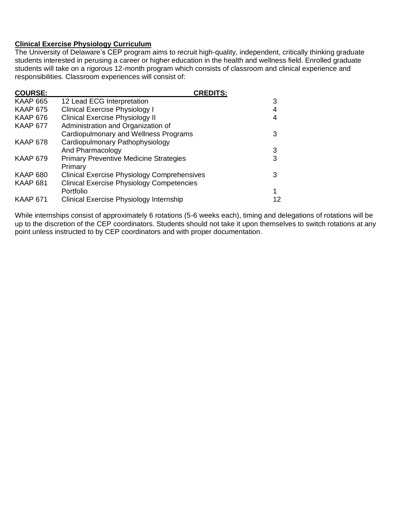# **Clinical Exercise Physiology Curriculum**

The University of Delaware's CEP program aims to recruit high-quality, independent, critically thinking graduate students interested in perusing a career or higher education in the health and wellness field. Enrolled graduate students will take on a rigorous 12-month program which consists of classroom and clinical experience and responsibilities. Classroom experiences will consist of:

| <b>COURSE:</b>  | <b>CREDITS:</b>                                    |    |
|-----------------|----------------------------------------------------|----|
| <b>KAAP 665</b> | 12 Lead ECG Interpretation                         | 3  |
| <b>KAAP 675</b> | <b>Clinical Exercise Physiology I</b>              |    |
| <b>KAAP 676</b> | <b>Clinical Exercise Physiology II</b>             | 4  |
| <b>KAAP 677</b> | Administration and Organization of                 |    |
|                 | Cardiopulmonary and Wellness Programs              |    |
| <b>KAAP 678</b> | Cardiopulmonary Pathophysiology                    |    |
|                 | And Pharmacology                                   | 3  |
| <b>KAAP 679</b> | <b>Primary Preventive Medicine Strategies</b>      | 3  |
|                 | Primary                                            |    |
| <b>KAAP 680</b> | <b>Clinical Exercise Physiology Comprehensives</b> | 3  |
| <b>KAAP 681</b> | <b>Clinical Exercise Physiology Competencies</b>   |    |
|                 | Portfolio                                          |    |
| <b>KAAP 671</b> | Clinical Exercise Physiology Internship            | 12 |

While internships consist of approximately 6 rotations (5-6 weeks each), timing and delegations of rotations will be up to the discretion of the CEP coordinators. Students should not take it upon themselves to switch rotations at any point unless instructed to by CEP coordinators and with proper documentation.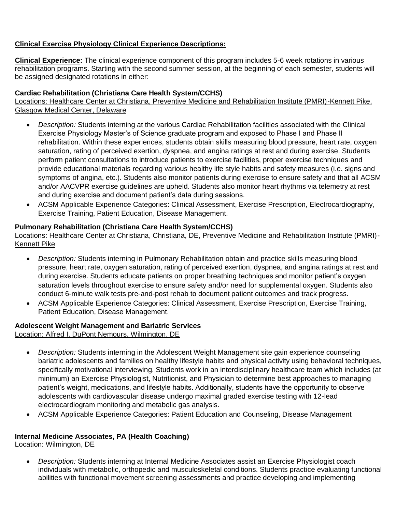# **Clinical Exercise Physiology Clinical Experience Descriptions:**

**Clinical Experience:** The clinical experience component of this program includes 5-6 week rotations in various rehabilitation programs. Starting with the second summer session, at the beginning of each semester, students will be assigned designated rotations in either:

# **Cardiac Rehabilitation (Christiana Care Health System/CCHS)**

Locations: Healthcare Center at Christiana, Preventive Medicine and Rehabilitation Institute (PMRI)-Kennett Pike, Glasgow Medical Center, Delaware

- *Description:* Students interning at the various Cardiac Rehabilitation facilities associated with the Clinical Exercise Physiology Master's of Science graduate program and exposed to Phase I and Phase II rehabilitation. Within these experiences, students obtain skills measuring blood pressure, heart rate, oxygen saturation, rating of perceived exertion, dyspnea, and angina ratings at rest and during exercise. Students perform patient consultations to introduce patients to exercise facilities, proper exercise techniques and provide educational materials regarding various healthy life style habits and safety measures (i.e. signs and symptoms of angina, etc.). Students also monitor patients during exercise to ensure safety and that all ACSM and/or AACVPR exercise guidelines are upheld. Students also monitor heart rhythms via telemetry at rest and during exercise and document patient's data during sessions.
- ACSM Applicable Experience Categories: Clinical Assessment, Exercise Prescription, Electrocardiography, Exercise Training, Patient Education, Disease Management.

# **Pulmonary Rehabilitation (Christiana Care Health System/CCHS)**

Locations: Healthcare Center at Christiana, Christiana, DE, Preventive Medicine and Rehabilitation Institute (PMRI)- Kennett Pike

- *Description:* Students interning in Pulmonary Rehabilitation obtain and practice skills measuring blood pressure, heart rate, oxygen saturation, rating of perceived exertion, dyspnea, and angina ratings at rest and during exercise. Students educate patients on proper breathing techniques and monitor patient's oxygen saturation levels throughout exercise to ensure safety and/or need for supplemental oxygen. Students also conduct 6-minute walk tests pre-and-post rehab to document patient outcomes and track progress.
- ACSM Applicable Experience Categories: Clinical Assessment, Exercise Prescription, Exercise Training, Patient Education, Disease Management.

# **Adolescent Weight Management and Bariatric Services**

Location: Alfred I. DuPont Nemours, Wilmington, DE

- *Description:* Students interning in the Adolescent Weight Management site gain experience counseling bariatric adolescents and families on healthy lifestyle habits and physical activity using behavioral techniques, specifically motivational interviewing. Students work in an interdisciplinary healthcare team which includes (at minimum) an Exercise Physiologist, Nutritionist, and Physician to determine best approaches to managing patient's weight, medications, and lifestyle habits. Additionally, students have the opportunity to observe adolescents with cardiovascular disease undergo maximal graded exercise testing with 12-lead electrocardiogram monitoring and metabolic gas analysis.
- ACSM Applicable Experience Categories: Patient Education and Counseling, Disease Management

# **Internal Medicine Associates, PA (Health Coaching)**

Location: Wilmington, DE

• *Description:* Students interning at Internal Medicine Associates assist an Exercise Physiologist coach individuals with metabolic, orthopedic and musculoskeletal conditions. Students practice evaluating functional abilities with functional movement screening assessments and practice developing and implementing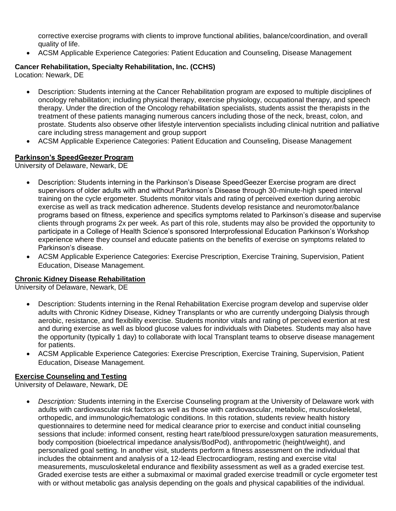corrective exercise programs with clients to improve functional abilities, balance/coordination, and overall quality of life.

• ACSM Applicable Experience Categories: Patient Education and Counseling, Disease Management

# **Cancer Rehabilitation, Specialty Rehabilitation, Inc. (CCHS)**

Location: Newark, DE

- Description: Students interning at the Cancer Rehabilitation program are exposed to multiple disciplines of oncology rehabilitation; including physical therapy, exercise physiology, occupational therapy, and speech therapy. Under the direction of the Oncology rehabilitation specialists, students assist the therapists in the treatment of these patients managing numerous cancers including those of the neck, breast, colon, and prostate. Students also observe other lifestyle intervention specialists including clinical nutrition and palliative care including stress management and group support
- ACSM Applicable Experience Categories: Patient Education and Counseling, Disease Management

# **Parkinson's SpeedGeezer Program**

University of Delaware, Newark, DE

- Description: Students interning in the Parkinson's Disease SpeedGeezer Exercise program are direct supervisors of older adults with and without Parkinson's Disease through 30-minute-high speed interval training on the cycle ergometer. Students monitor vitals and rating of perceived exertion during aerobic exercise as well as track medication adherence. Students develop resistance and neuromotor/balance programs based on fitness, experience and specifics symptoms related to Parkinson's disease and supervise clients through programs 2x per week. As part of this role, students may also be provided the opportunity to participate in a College of Health Science's sponsored Interprofessional Education Parkinson's Workshop experience where they counsel and educate patients on the benefits of exercise on symptoms related to Parkinson's disease.
- ACSM Applicable Experience Categories: Exercise Prescription, Exercise Training, Supervision, Patient Education, Disease Management.

# **Chronic Kidney Disease Rehabilitation**

University of Delaware, Newark, DE

- Description: Students interning in the Renal Rehabilitation Exercise program develop and supervise older adults with Chronic Kidney Disease, Kidney Transplants or who are currently undergoing Dialysis through aerobic, resistance, and flexibility exercise. Students monitor vitals and rating of perceived exertion at rest and during exercise as well as blood glucose values for individuals with Diabetes. Students may also have the opportunity (typically 1 day) to collaborate with local Transplant teams to observe disease management for patients.
- ACSM Applicable Experience Categories: Exercise Prescription, Exercise Training, Supervision, Patient Education, Disease Management.

# **Exercise Counseling and Testing**

University of Delaware, Newark, DE

• *Description:* Students interning in the Exercise Counseling program at the University of Delaware work with adults with cardiovascular risk factors as well as those with cardiovascular, metabolic, musculoskeletal, orthopedic, and immunologic/hematologic conditions. In this rotation, students review health history questionnaires to determine need for medical clearance prior to exercise and conduct initial counseling sessions that include: informed consent, resting heart rate/blood pressure/oxygen saturation measurements, body composition (bioelectrical impedance analysis/BodPod), anthropometric (height/weight), and personalized goal setting. In another visit, students perform a fitness assessment on the individual that includes the obtainment and analysis of a 12-lead Electrocardiogram, resting and exercise vital measurements, musculoskeletal endurance and flexibility assessment as well as a graded exercise test. Graded exercise tests are either a submaximal or maximal graded exercise treadmill or cycle ergometer test with or without metabolic gas analysis depending on the goals and physical capabilities of the individual.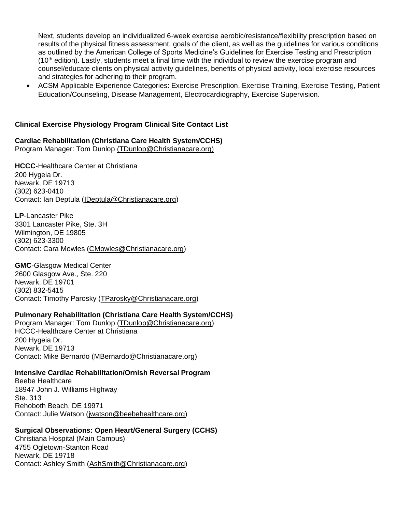Next, students develop an individualized 6-week exercise aerobic/resistance/flexibility prescription based on results of the physical fitness assessment, goals of the client, as well as the guidelines for various conditions as outlined by the American College of Sports Medicine's Guidelines for Exercise Testing and Prescription  $(10<sup>th</sup>$  edition). Lastly, students meet a final time with the individual to review the exercise program and counsel/educate clients on physical activity guidelines, benefits of physical activity, local exercise resources and strategies for adhering to their program.

• ACSM Applicable Experience Categories: Exercise Prescription, Exercise Training, Exercise Testing, Patient Education/Counseling, Disease Management, Electrocardiography, Exercise Supervision.

# **Clinical Exercise Physiology Program Clinical Site Contact List**

**Cardiac Rehabilitation (Christiana Care Health System/CCHS)** Program Manager: Tom Dunlop (TDunlop@Christianacare.org)

**HCCC**-Healthcare Center at Christiana 200 Hygeia Dr. Newark, DE 19713 (302) 623-0410 Contact: Ian Deptula [\(IDeptula@Christianacare.org\)](mailto:IDeptula@Christianacare.org)

**LP**-Lancaster Pike 3301 Lancaster Pike, Ste. 3H Wilmington, DE 19805 (302) 623-3300 Contact: Cara Mowles [\(CMowles@Christianacare.org\)](mailto:CMowles@Christianacare.org)

**GMC**-Glasgow Medical Center 2600 Glasgow Ave., Ste. 220 Newark, DE 19701 (302) 832-5415 Contact: Timothy Parosky [\(TParosky@Christianacare.org\)](mailto:TParosky@Christianacare.org)

### **Pulmonary Rehabilitation (Christiana Care Health System/CCHS)**

Program Manager: Tom Dunlop (TDunlop@Christianacare.org) HCCC-Healthcare Center at Christiana 200 Hygeia Dr. Newark, DE 19713 Contact: Mike Bernardo (MBernardo@Christianacare.org)

### **Intensive Cardiac Rehabilitation/Ornish Reversal Program**

Beebe Healthcare 18947 John J. Williams Highway Ste. 313 Rehoboth Beach, DE 19971 Contact: Julie Watson (jwatson@beebehealthcare.org)

# **Surgical Observations: Open Heart/General Surgery (CCHS)**

Christiana Hospital (Main Campus) 4755 Ogletown-Stanton Road Newark, DE 19718 Contact: Ashley Smith [\(AshSmith@Christianacare.org\)](mailto:AshSmith@Christianacare.org)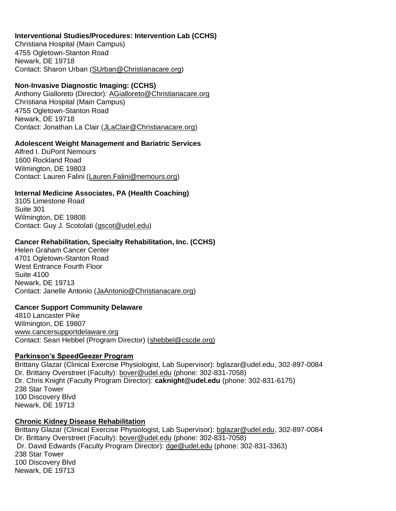# **Interventional Studies/Procedures: Intervention Lab (CCHS)**

Christiana Hospital (Main Campus) 4755 Ogletown-Stanton Road Newark, DE 19718 Contact: Sharon Urban [\(SUrban@Christianacare.org\)](mailto:SUrban@Christianacare.org)

### **Non-Invasive Diagnostic Imaging: (CCHS)**

Anthony Gialloreto (Director): [AGialloreto@Christianacare.org](mailto:AGialloreto@Christianacare.org) Christiana Hospital (Main Campus) 4755 Ogletown-Stanton Road Newark, DE 19718 Contact: Jonathan La Clair [\(JLaClair@Christianacare.org\)](mailto:JLaClair@Christianacare.org)

# **Adolescent Weight Management and Bariatric Services**

Alfred I. DuPont Nemours 1600 Rockland Road Wilmington, DE 19803 Contact: Lauren Falini [\(Lauren.Falini@nemours.org\)](mailto:Lauren.Falini@nemours.org)

### **Internal Medicine Associates, PA (Health Coaching)**

3105 Limestone Road Suite 301 Wilmington, DE 19808 Contact: Guy J. Scotolati [\(gscot@udel.edu\)](mailto:gscot@udel.edu)

### **Cancer Rehabilitation, Specialty Rehabilitation, Inc. (CCHS)**

Helen Graham Cancer Center 4701 Ogletown-Stanton Road West Entrance Fourth Floor Suite 4100 Newark, DE 19713 Contact: Janelle Antonio (JaAntonio@Christianacare.org)

### **Cancer Support Community Delaware**

4810 Lancaster Pike Wilmington, DE 19807 [www.cancersupportdelaware.org](http://www.cancersupportdelaware.org/) Contact: Sean Hebbel (Program Director) [\(shebbel@cscde.org\)](about:blank)

### **Parkinson's SpeedGeezer Program**

Brittany Glazar (Clinical Exercise Physiologist, Lab Supervisor): bglazar@udel.edu, 302-897-0084 Dr. Brittany Overstreet (Faculty): [bover@udel.edu](mailto:bover@udel.edu) (phone: 302-831-7058) Dr. Chris Knight (Faculty Program Director): **caknight@udel.edu** (phone: 302-831-6175) 238 Star Tower 100 Discovery Blvd Newark, DE 19713

# **Chronic Kidney Disease Rehabilitation**

Brittany Glazar (Clinical Exercise Physiologist, Lab Supervisor): [bglazar@udel.edu,](mailto:bglazar@udel.edu) 302-897-0084 Dr. Brittany Overstreet (Faculty): [bover@udel.edu](mailto:bover@udel.edu) (phone: 302-831-7058) Dr. David Edwards (Faculty Program Director): [dge@udel.edu](mailto:dge@udel.edu) (phone: 302-831-3363) 238 Star Tower 100 Discovery Blvd Newark, DE 19713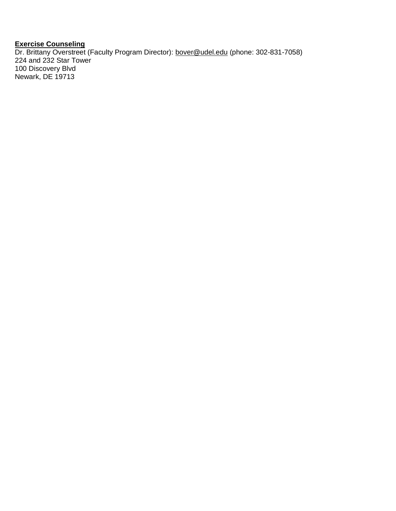# **Exercise Counseling**

Dr. Brittany Overstreet (Faculty Program Director): [bover@udel.edu](mailto:bover@udel.edu) (phone: 302-831-7058) 224 and 232 Star Tower 100 Discovery Blvd Newark, DE 19713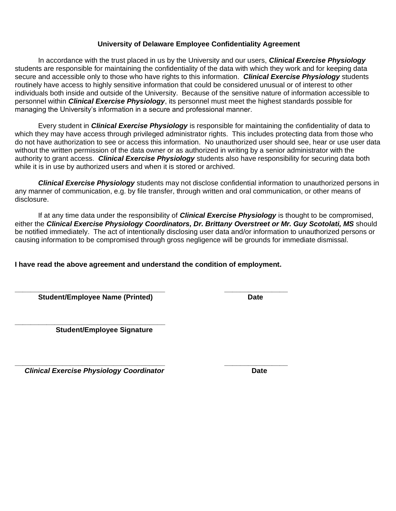# **University of Delaware Employee Confidentiality Agreement**

In accordance with the trust placed in us by the University and our users, *Clinical Exercise Physiology*  students are responsible for maintaining the confidentiality of the data with which they work and for keeping data secure and accessible only to those who have rights to this information. *Clinical Exercise Physiology* students routinely have access to highly sensitive information that could be considered unusual or of interest to other individuals both inside and outside of the University. Because of the sensitive nature of information accessible to personnel within *Clinical Exercise Physiology*, its personnel must meet the highest standards possible for managing the University's information in a secure and professional manner.

Every student in *Clinical Exercise Physiology* is responsible for maintaining the confidentiality of data to which they may have access through privileged administrator rights. This includes protecting data from those who do not have authorization to see or access this information. No unauthorized user should see, hear or use user data without the written permission of the data owner or as authorized in writing by a senior administrator with the authority to grant access. *Clinical Exercise Physiology* students also have responsibility for securing data both while it is in use by authorized users and when it is stored or archived.

*Clinical Exercise Physiology* students may not disclose confidential information to unauthorized persons in any manner of communication, e.g. by file transfer, through written and oral communication, or other means of disclosure.

If at any time data under the responsibility of *Clinical Exercise Physiology* is thought to be compromised, either the *Clinical Exercise Physiology Coordinators, Dr. Brittany Overstreet or Mr. Guy Scotolati, MS* should be notified immediately. The act of intentionally disclosing user data and/or information to unauthorized persons or causing information to be compromised through gross negligence will be grounds for immediate dismissal.

**I have read the above agreement and understand the condition of employment.**

**\_\_\_\_\_\_\_\_\_\_\_\_\_\_\_\_\_\_\_\_\_\_\_\_\_\_\_\_\_\_\_\_\_\_\_\_\_\_ \_\_\_\_\_\_\_\_\_\_\_\_\_\_\_\_ Student/Employee Name (Printed) Date**

**\_\_\_\_\_\_\_\_\_\_\_\_\_\_\_\_\_\_\_\_\_\_\_\_\_\_\_\_\_\_\_\_\_\_\_\_\_\_ Student/Employee Signature**

**\_\_\_\_\_\_\_\_\_\_\_\_\_\_\_\_\_\_\_\_\_\_\_\_\_\_\_\_\_\_\_\_\_\_\_\_\_\_ \_\_\_\_\_\_\_\_\_\_\_\_\_\_\_\_** *Clinical Exercise Physiology Coordinator* **Date**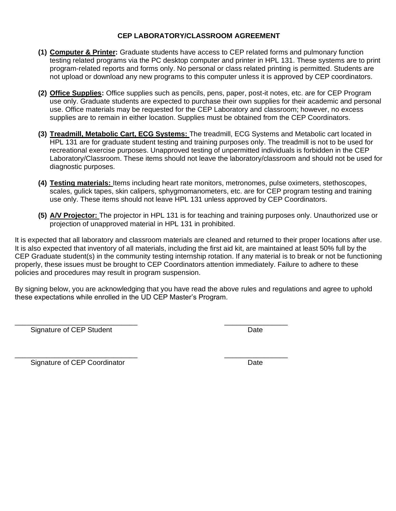# **CEP LABORATORY/CLASSROOM AGREEMENT**

- **(1) Computer & Printer:** Graduate students have access to CEP related forms and pulmonary function testing related programs via the PC desktop computer and printer in HPL 131. These systems are to print program-related reports and forms only. No personal or class related printing is permitted. Students are not upload or download any new programs to this computer unless it is approved by CEP coordinators.
- **(2) Office Supplies:** Office supplies such as pencils, pens, paper, post-it notes, etc. are for CEP Program use only. Graduate students are expected to purchase their own supplies for their academic and personal use. Office materials may be requested for the CEP Laboratory and classroom; however, no excess supplies are to remain in either location. Supplies must be obtained from the CEP Coordinators.
- **(3) Treadmill, Metabolic Cart, ECG Systems:** The treadmill, ECG Systems and Metabolic cart located in HPL 131 are for graduate student testing and training purposes only. The treadmill is not to be used for recreational exercise purposes. Unapproved testing of unpermitted individuals is forbidden in the CEP Laboratory/Classroom. These items should not leave the laboratory/classroom and should not be used for diagnostic purposes.
- **(4) Testing materials:** Items including heart rate monitors, metronomes, pulse oximeters, stethoscopes, scales, gulick tapes, skin calipers, sphygmomanometers, etc. are for CEP program testing and training use only. These items should not leave HPL 131 unless approved by CEP Coordinators.
- **(5) A/V Projector:** The projector in HPL 131 is for teaching and training purposes only. Unauthorized use or projection of unapproved material in HPL 131 in prohibited.

It is expected that all laboratory and classroom materials are cleaned and returned to their proper locations after use. It is also expected that inventory of all materials, including the first aid kit, are maintained at least 50% full by the CEP Graduate student(s) in the community testing internship rotation. If any material is to break or not be functioning properly, these issues must be brought to CEP Coordinators attention immediately. Failure to adhere to these policies and procedures may result in program suspension.

By signing below, you are acknowledging that you have read the above rules and regulations and agree to uphold these expectations while enrolled in the UD CEP Master's Program.

Signature of CEP Student **Date** Date Date

\_\_\_\_\_\_\_\_\_\_\_\_\_\_\_\_\_\_\_\_\_\_\_\_\_\_\_\_\_\_\_ \_\_\_\_\_\_\_\_\_\_\_\_\_\_\_\_

\_\_\_\_\_\_\_\_\_\_\_\_\_\_\_\_\_\_\_\_\_\_\_\_\_\_\_\_\_\_\_ \_\_\_\_\_\_\_\_\_\_\_\_\_\_\_\_ Signature of CEP Coordinator **Date** Date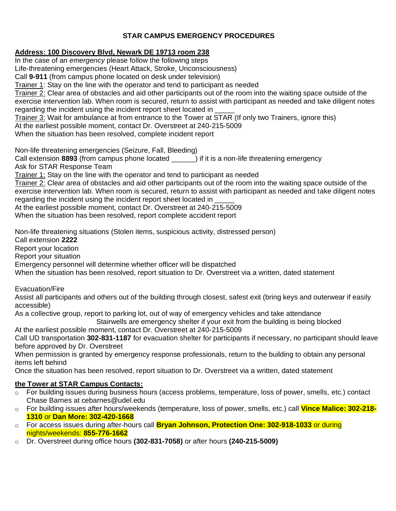# **STAR CAMPUS EMERGENCY PROCEDURES**

# **Address: 100 Discovery Blvd, Newark DE 19713 room 238**

In the case of an *emergency* please follow the following steps Life-threatening emergencies (Heart Attack, Stroke, Unconsciousness) Call **9-911** (from campus phone located on desk under television) Trainer 1: Stay on the line with the operator and tend to participant as needed Trainer 2: Clear area of obstacles and aid other participants out of the room into the waiting space outside of the exercise intervention lab. When room is secured, return to assist with participant as needed and take diligent notes regarding the incident using the incident report sheet located in Trainer 3: Wait for ambulance at from entrance to the Tower at STAR (If only two Trainers, ignore this) At the earliest possible moment, contact Dr. Overstreet at 240-215-5009 When the situation has been resolved, complete incident report Non-life threatening emergencies (Seizure, Fall, Bleeding) Call extension **8893** (from campus phone located \_\_\_\_\_\_) if it is a non-life threatening emergency Ask for STAR Response Team Trainer 1: Stay on the line with the operator and tend to participant as needed

Trainer 2: Clear area of obstacles and aid other participants out of the room into the waiting space outside of the exercise intervention lab. When room is secured, return to assist with participant as needed and take diligent notes regarding the incident using the incident report sheet located in

At the earliest possible moment, contact Dr. Overstreet at 240-215-5009

When the situation has been resolved, report complete accident report

Non-life threatening situations (Stolen items, suspicious activity, distressed person)

Call extension **2222**

Report your location

Report your situation

Emergency personnel will determine whether officer will be dispatched

When the situation has been resolved, report situation to Dr. Overstreet via a written, dated statement

Evacuation/Fire

Assist all participants and others out of the building through closest, safest exit (bring keys and outerwear if easily accessible)

As a collective group, report to parking lot, out of way of emergency vehicles and take attendance

Stairwells are emergency shelter if your exit from the building is being blocked

At the earliest possible moment, contact Dr. Overstreet at 240-215-5009

Call UD transportation **302-831-1187** for evacuation shelter for participants if necessary, no participant should leave before approved by Dr. Overstreet

When permission is granted by emergency response professionals, return to the building to obtain any personal items left behind

Once the situation has been resolved, report situation to Dr. Overstreet via a written, dated statement

# **the Tower at STAR Campus Contacts:**

- $\circ$  For building issues during business hours (access problems, temperature, loss of power, smells, etc.) contact Chase Barnes at cebarnes@udel.edu
- o For building issues after hours/weekends (temperature, loss of power, smells, etc.) call **Vince Malice: 302-218- 1310** or **Dan More: 302-420-1668**
- o For access issues during after-hours call **Bryan Johnson, Protection One: 302-918-1033** or during nights/weekends: **855-776-1662**
- o Dr. Overstreet during office hours **(302-831-7058)** or after hours **(240-215-5009)**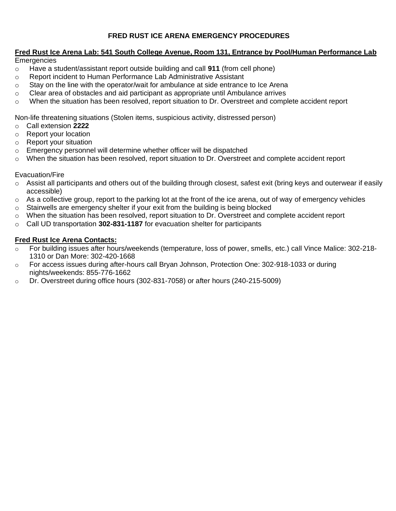# **FRED RUST ICE ARENA EMERGENCY PROCEDURES**

# **Fred Rust Ice Arena Lab: 541 South College Avenue, Room 131, Entrance by Pool/Human Performance Lab**

**Emergencies** 

- o Have a student/assistant report outside building and call **911** (from cell phone)
- o Report incident to Human Performance Lab Administrative Assistant
- $\circ$  Stay on the line with the operator/wait for ambulance at side entrance to Ice Arena
- $\circ$  Clear area of obstacles and aid participant as appropriate until Ambulance arrives
- o When the situation has been resolved, report situation to Dr. Overstreet and complete accident report

Non-life threatening situations (Stolen items, suspicious activity, distressed person)

- o Call extension **2222**
- o Report your location
- o Report your situation
- o Emergency personnel will determine whether officer will be dispatched
- o When the situation has been resolved, report situation to Dr. Overstreet and complete accident report

### Evacuation/Fire

- $\circ$  Assist all participants and others out of the building through closest, safest exit (bring keys and outerwear if easily accessible)
- $\circ$  As a collective group, report to the parking lot at the front of the ice arena, out of way of emergency vehicles
- $\circ$  Stairwells are emergency shelter if your exit from the building is being blocked
- $\circ$  When the situation has been resolved, report situation to Dr. Overstreet and complete accident report
- o Call UD transportation **302-831-1187** for evacuation shelter for participants

### **Fred Rust Ice Arena Contacts:**

- For building issues after hours/weekends (temperature, loss of power, smells, etc.) call Vince Malice: 302-218-1310 or Dan More: 302-420-1668
- o For access issues during after-hours call Bryan Johnson, Protection One: 302-918-1033 or during nights/weekends: 855-776-1662
- o Dr. Overstreet during office hours (302-831-7058) or after hours (240-215-5009)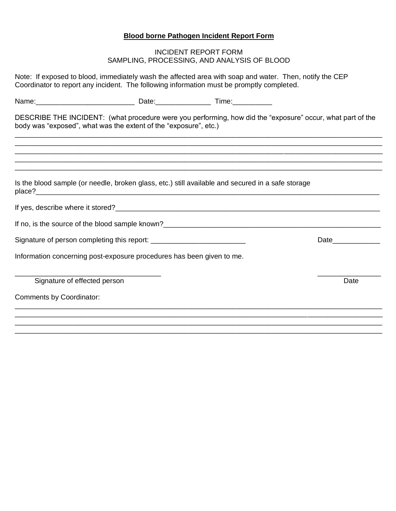# **Blood borne Pathogen Incident Report Form**

# INCIDENT REPORT FORM SAMPLING, PROCESSING, AND ANALYSIS OF BLOOD

| Note: If exposed to blood, immediately wash the affected area with soap and water. Then, notify the CEP<br>Coordinator to report any incident. The following information must be promptly completed. |  |                                                             |
|------------------------------------------------------------------------------------------------------------------------------------------------------------------------------------------------------|--|-------------------------------------------------------------|
|                                                                                                                                                                                                      |  |                                                             |
| DESCRIBE THE INCIDENT: (what procedure were you performing, how did the "exposure" occur, what part of the<br>body was "exposed", what was the extent of the "exposure", etc.)                       |  | <u> 1980 - Johann Stoff, amerikansk politiker (d. 1980)</u> |
|                                                                                                                                                                                                      |  | <u> 1990 - John Stone, Amerikaansk politiker (* 1900)</u>   |
| Is the blood sample (or needle, broken glass, etc.) still available and secured in a safe storage                                                                                                    |  |                                                             |
|                                                                                                                                                                                                      |  |                                                             |
|                                                                                                                                                                                                      |  |                                                             |
|                                                                                                                                                                                                      |  |                                                             |
| Information concerning post-exposure procedures has been given to me.                                                                                                                                |  |                                                             |
| Signature of effected person                                                                                                                                                                         |  | Date                                                        |
| <b>Comments by Coordinator:</b>                                                                                                                                                                      |  |                                                             |
|                                                                                                                                                                                                      |  |                                                             |

 $\overline{\phantom{a}}$  , and the contribution of the contribution of the contribution of the contribution of the contribution of the contribution of the contribution of the contribution of the contribution of the contribution of the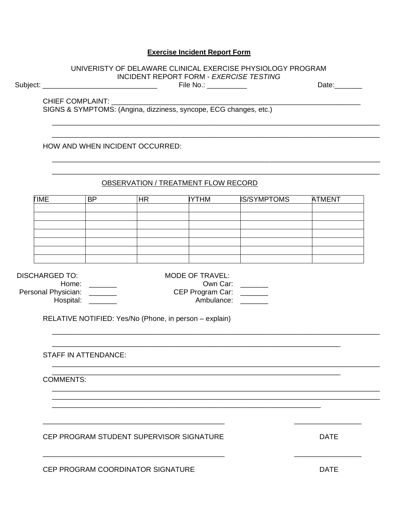### **Exercise Incident Report Form**

### UNIVERISTY OF DELAWARE CLINICAL EXERCISE PHYSIOLOGY PROGRAM INCIDENT REPORT FORM - EXERCISE TESTING

Subject: \_\_\_\_\_\_\_\_\_\_\_\_\_\_\_\_\_\_\_\_

\_\_\_\_\_\_\_\_\_\_\_\_\_\_\_\_ File No.: \_\_\_\_\_\_\_\_\_\_\_\_

Date:\_\_\_\_\_\_\_

**CHIEF COMPLAINT:** 

SIGNS & SYMPTOMS: (Angina, dizziness, syncope, ECG changes, etc.)

HOW AND WHEN INCIDENT OCCURRED:

### OBSERVATION / TREATMENT FLOW RECORD

| <b>TIME</b> | <b>BP</b> | <b>HR</b> | <b>YTHM</b> | <b>IS/SYMPTOMS</b> | <b>ATMENT</b> |
|-------------|-----------|-----------|-------------|--------------------|---------------|
|             |           |           |             |                    |               |
|             |           |           |             |                    |               |
|             |           |           |             |                    |               |
|             |           |           |             |                    |               |
|             |           |           |             |                    |               |
|             |           |           |             |                    |               |
|             |           |           |             |                    |               |

**DISCHARGED TO:** 

Home:  $\_\_$ Personal Physician: \_\_\_\_\_\_\_ Hospital:  $\frac{1}{1}$ 

MODE OF TRAVEL: Own Car: \_\_\_\_ CEP Program Car: \_\_\_\_\_\_ Ambulance: \_\_\_\_\_\_\_

RELATIVE NOTIFIED: Yes/No (Phone, in person - explain)

**STAFF IN ATTENDANCE:** 

**COMMENTS:** 

CEP PROGRAM STUDENT SUPERVISOR SIGNATURE

DATE

CEP PROGRAM COORDINATOR SIGNATURE

**DATE**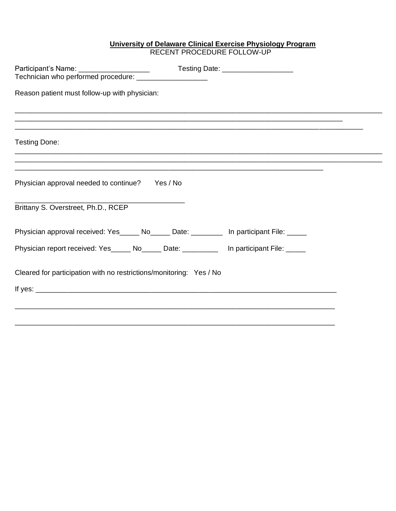### **University of Delaware Clinical Exercise Physiology Program** RECENT PROCEDURE FOLLOW-UP

|                                                                                         | Testing Date: _____________________                                                                                   |
|-----------------------------------------------------------------------------------------|-----------------------------------------------------------------------------------------------------------------------|
| Reason patient must follow-up with physician:                                           |                                                                                                                       |
| <u>,这就是一个人的人,我们就是一个人的人,我们就是一个人的人,我们就是一个人的人,我们就是一个人的人,我们就是一个人的人,我们就是一个人的人,我们就是</u>       | <u> 1990 - John Stoff, deutscher Stoff, der Stoff, der Stoff, der Stoff, der Stoff, der Stoff, der Stoff, der Sto</u> |
| Testing Done:                                                                           |                                                                                                                       |
|                                                                                         |                                                                                                                       |
| Physician approval needed to continue? Yes / No                                         |                                                                                                                       |
| Brittany S. Overstreet, Ph.D., RCEP                                                     |                                                                                                                       |
| Physician approval received: Yes_____ No_____ Date: ________ In participant File: _____ |                                                                                                                       |
| Physician report received: Yes_____ No_____ Date: _________ In participant File: ____   |                                                                                                                       |
| Cleared for participation with no restrictions/monitoring: Yes / No                     |                                                                                                                       |
|                                                                                         |                                                                                                                       |
|                                                                                         |                                                                                                                       |
|                                                                                         |                                                                                                                       |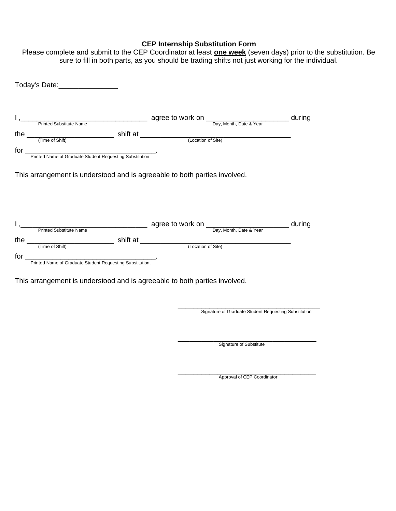# **CEP Internship Substitution Form**

| Today's Date: ________________                                                                                                                |  |                                                       |  |
|-----------------------------------------------------------------------------------------------------------------------------------------------|--|-------------------------------------------------------|--|
|                                                                                                                                               |  |                                                       |  |
|                                                                                                                                               |  |                                                       |  |
| the $\frac{1}{(Time of Shift)}$ Shift at $\frac{1}{(Location of Site)}$                                                                       |  |                                                       |  |
|                                                                                                                                               |  |                                                       |  |
| for<br>Printed Name of Graduate Student Requesting Substitution.                                                                              |  |                                                       |  |
| This arrangement is understood and is agreeable to both parties involved.                                                                     |  |                                                       |  |
|                                                                                                                                               |  |                                                       |  |
|                                                                                                                                               |  |                                                       |  |
|                                                                                                                                               |  |                                                       |  |
| the $\frac{1}{(Time of Shift)}$ shift at $\frac{1}{(Location of Site)}$                                                                       |  |                                                       |  |
|                                                                                                                                               |  |                                                       |  |
|                                                                                                                                               |  |                                                       |  |
|                                                                                                                                               |  |                                                       |  |
|                                                                                                                                               |  |                                                       |  |
|                                                                                                                                               |  |                                                       |  |
|                                                                                                                                               |  |                                                       |  |
|                                                                                                                                               |  | Signature of Graduate Student Requesting Substitution |  |
|                                                                                                                                               |  |                                                       |  |
| for<br>Printed Name of Graduate Student Requesting Substitution.<br>This arrangement is understood and is agreeable to both parties involved. |  | Signature of Substitute                               |  |

Please complete and submit to the CEP Coordinator at least **one week** (seven days) prior to the substitution. Be sure to fill in both parts, as you should be trading shifts not just working for the individual.